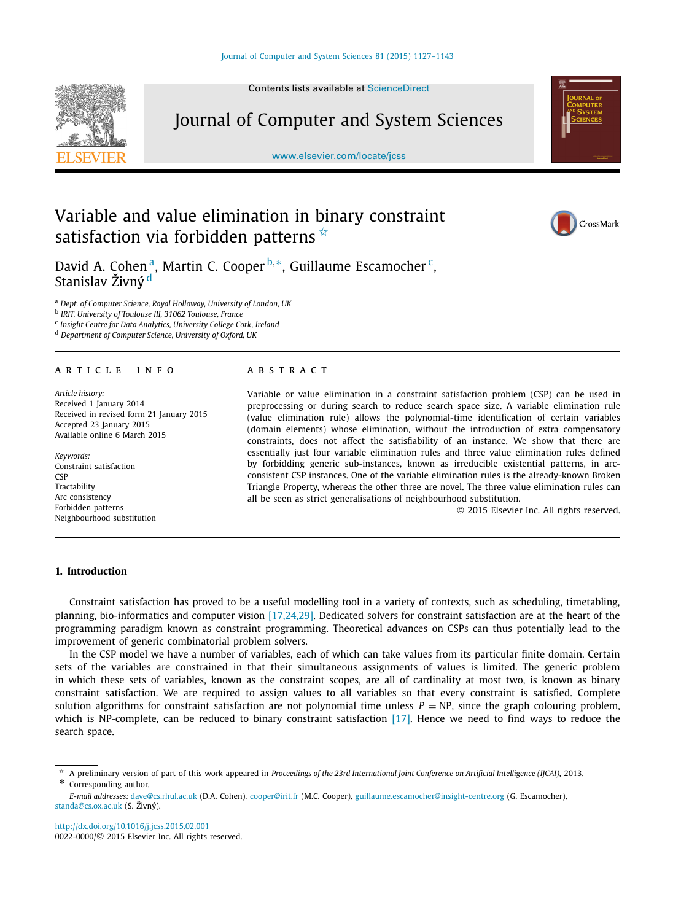Contents lists available at [ScienceDirect](http://www.ScienceDirect.com/)

Journal of Computer and System Sciences

[www.elsevier.com/locate/jcss](http://www.elsevier.com/locate/jcss)

# Variable and value elimination in binary constraint satisfaction via forbidden patterns  $\hat{X}$

David A. Cohen<sup>a</sup>, Martin C. Cooper<sup>b,∗</sup>, Guillaume Escamocher<sup>c</sup>, Stanislav Živný <sup>d</sup>

<sup>a</sup> *Dept. of Computer Science, Royal Holloway, University of London, UK*

<sup>b</sup> *IRIT, University of Toulouse III, 31062 Toulouse, France*

<sup>c</sup> *Insight Centre for Data Analytics, University College Cork, Ireland*

<sup>d</sup> *Department of Computer Science, University of Oxford, UK*

#### A R T I C L E I N F O A B S T R A C T

*Article history:* Received 1 January 2014 Received in revised form 21 January 2015 Accepted 23 January 2015 Available online 6 March 2015

*Keywords:* Constraint satisfaction **CSP Tractability** Arc consistency Forbidden patterns Neighbourhood substitution

Variable or value elimination in a constraint satisfaction problem (CSP) can be used in preprocessing or during search to reduce search space size. A variable elimination rule (value elimination rule) allows the polynomial-time identification of certain variables (domain elements) whose elimination, without the introduction of extra compensatory constraints, does not affect the satisfiability of an instance. We show that there are essentially just four variable elimination rules and three value elimination rules defined by forbidding generic sub-instances, known as irreducible existential patterns, in arcconsistent CSP instances. One of the variable elimination rules is the already-known Broken Triangle Property, whereas the other three are novel. The three value elimination rules can all be seen as strict generalisations of neighbourhood substitution.

© 2015 Elsevier Inc. All rights reserved.

# **1. Introduction**

Constraint satisfaction has proved to be a useful modelling tool in a variety of contexts, such as scheduling, timetabling, planning, bio-informatics and computer vision [\[17,24,29\].](#page-16-0) Dedicated solvers for constraint satisfaction are at the heart of the programming paradigm known as constraint programming. Theoretical advances on CSPs can thus potentially lead to the improvement of generic combinatorial problem solvers.

In the CSP model we have a number of variables, each of which can take values from its particular finite domain. Certain sets of the variables are constrained in that their simultaneous assignments of values is limited. The generic problem in which these sets of variables, known as the constraint scopes, are all of cardinality at most two, is known as binary constraint satisfaction. We are required to assign values to all variables so that every constraint is satisfied. Complete solution algorithms for constraint satisfaction are not polynomial time unless  $P = NP$ , since the graph colouring problem, which is NP-complete, can be reduced to binary constraint satisfaction [\[17\].](#page-16-0) Hence we need to find ways to reduce the search space.

<http://dx.doi.org/10.1016/j.jcss.2015.02.001> 0022-0000/© 2015 Elsevier Inc. All rights reserved.





A preliminary version of part of this work appeared in Proceedings of the 23rd International Joint Conference on Artificial Intelligence (IICAI). 2013. Corresponding author.

*E-mail addresses:* [dave@cs.rhul.ac.uk](mailto:dave@cs.rhul.ac.uk) (D.A. Cohen), [cooper@irit.fr](mailto:cooper@irit.fr) (M.C. Cooper), [guillaume.escamocher@insight-centre.org](mailto:guillaume.escamocher@insight-centre.org) (G. Escamocher), [standa@cs.ox.ac.uk](mailto:standa@cs.ox.ac.uk) (S. Živný).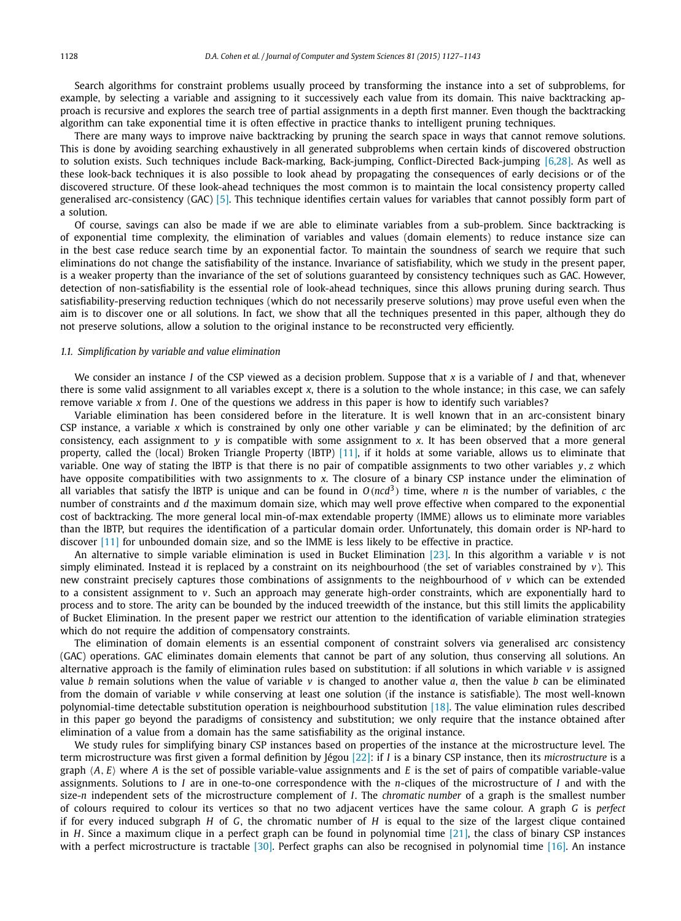<span id="page-1-0"></span>Search algorithms for constraint problems usually proceed by transforming the instance into a set of subproblems, for example, by selecting a variable and assigning to it successively each value from its domain. This naive backtracking approach is recursive and explores the search tree of partial assignments in a depth first manner. Even though the backtracking algorithm can take exponential time it is often effective in practice thanks to intelligent pruning techniques.

There are many ways to improve naive backtracking by pruning the search space in ways that cannot remove solutions. This is done by avoiding searching exhaustively in all generated subproblems when certain kinds of discovered obstruction to solution exists. Such techniques include Back-marking, Back-jumping, Conflict-Directed Back-jumping [\[6,28\].](#page-15-0) As well as these look-back techniques it is also possible to look ahead by propagating the consequences of early decisions or of the discovered structure. Of these look-ahead techniques the most common is to maintain the local consistency property called generalised arc-consistency (GAC) [\[5\].](#page-15-0) This technique identifies certain values for variables that cannot possibly form part of a solution.

Of course, savings can also be made if we are able to eliminate variables from a sub-problem. Since backtracking is of exponential time complexity, the elimination of variables and values (domain elements) to reduce instance size can in the best case reduce search time by an exponential factor. To maintain the soundness of search we require that such eliminations do not change the satisfiability of the instance. Invariance of satisfiability, which we study in the present paper, is a weaker property than the invariance of the set of solutions guaranteed by consistency techniques such as GAC. However, detection of non-satisfiability is the essential role of look-ahead techniques, since this allows pruning during search. Thus satisfiability-preserving reduction techniques (which do not necessarily preserve solutions) may prove useful even when the aim is to discover one or all solutions. In fact, we show that all the techniques presented in this paper, although they do not preserve solutions, allow a solution to the original instance to be reconstructed very efficiently.

#### *1.1. Simplification by variable and value elimination*

We consider an instance *I* of the CSP viewed as a decision problem. Suppose that *x* is a variable of *I* and that, whenever there is some valid assignment to all variables except *x*, there is a solution to the whole instance; in this case, we can safely remove variable *x* from *I*. One of the questions we address in this paper is how to identify such variables?

Variable elimination has been considered before in the literature. It is well known that in an arc-consistent binary CSP instance, a variable *x* which is constrained by only one other variable *y* can be eliminated; by the definition of arc consistency, each assignment to *y* is compatible with some assignment to *x*. It has been observed that a more general property, called the (local) Broken Triangle Property (lBTP) [\[11\],](#page-15-0) if it holds at some variable, allows us to eliminate that variable. One way of stating the lBTP is that there is no pair of compatible assignments to two other variables *y, z* which have opposite compatibilities with two assignments to *x*. The closure of a binary CSP instance under the elimination of all variables that satisfy the IBTP is unique and can be found in  $O(ncd^3)$  time, where *n* is the number of variables, *c* the number of constraints and *d* the maximum domain size, which may well prove effective when compared to the exponential cost of backtracking. The more general local min-of-max extendable property (lMME) allows us to eliminate more variables than the lBTP, but requires the identification of a particular domain order. Unfortunately, this domain order is NP-hard to discover [\[11\]](#page-15-0) for unbounded domain size, and so the lMME is less likely to be effective in practice.

An alternative to simple variable elimination is used in Bucket Elimination [\[23\].](#page-16-0) In this algorithm a variable *v* is not simply eliminated. Instead it is replaced by a constraint on its neighbourhood (the set of variables constrained by *v*). This new constraint precisely captures those combinations of assignments to the neighbourhood of *v* which can be extended to a consistent assignment to *v*. Such an approach may generate high-order constraints, which are exponentially hard to process and to store. The arity can be bounded by the induced treewidth of the instance, but this still limits the applicability of Bucket Elimination. In the present paper we restrict our attention to the identification of variable elimination strategies which do not require the addition of compensatory constraints.

The elimination of domain elements is an essential component of constraint solvers via generalised arc consistency (GAC) operations. GAC eliminates domain elements that cannot be part of any solution, thus conserving all solutions. An alternative approach is the family of elimination rules based on substitution: if all solutions in which variable  $\nu$  is assigned value *b* remain solutions when the value of variable *v* is changed to another value *a*, then the value *b* can be eliminated from the domain of variable *v* while conserving at least one solution (if the instance is satisfiable). The most well-known polynomial-time detectable substitution operation is neighbourhood substitution [\[18\].](#page-16-0) The value elimination rules described in this paper go beyond the paradigms of consistency and substitution; we only require that the instance obtained after elimination of a value from a domain has the same satisfiability as the original instance.

We study rules for simplifying binary CSP instances based on properties of the instance at the microstructure level. The term microstructure was first given a formal definition by Jégou [\[22\]:](#page-16-0) if *I* is a binary CSP instance, then its *microstructure* is a graph  $\langle A, E \rangle$  where *A* is the set of possible variable-value assignments and *E* is the set of pairs of compatible variable-value assignments. Solutions to *I* are in one-to-one correspondence with the *n*-cliques of the microstructure of *I* and with the size-*n* independent sets of the microstructure complement of *I*. The *chromatic number* of a graph is the smallest number of colours required to colour its vertices so that no two adjacent vertices have the same colour. A graph *G* is *perfect* if for every induced subgraph *H* of *G*, the chromatic number of *H* is equal to the size of the largest clique contained in *H*. Since a maximum clique in a perfect graph can be found in polynomial time [\[21\],](#page-16-0) the class of binary CSP instances with a perfect microstructure is tractable [\[30\].](#page-16-0) Perfect graphs can also be recognised in polynomial time [\[16\].](#page-16-0) An instance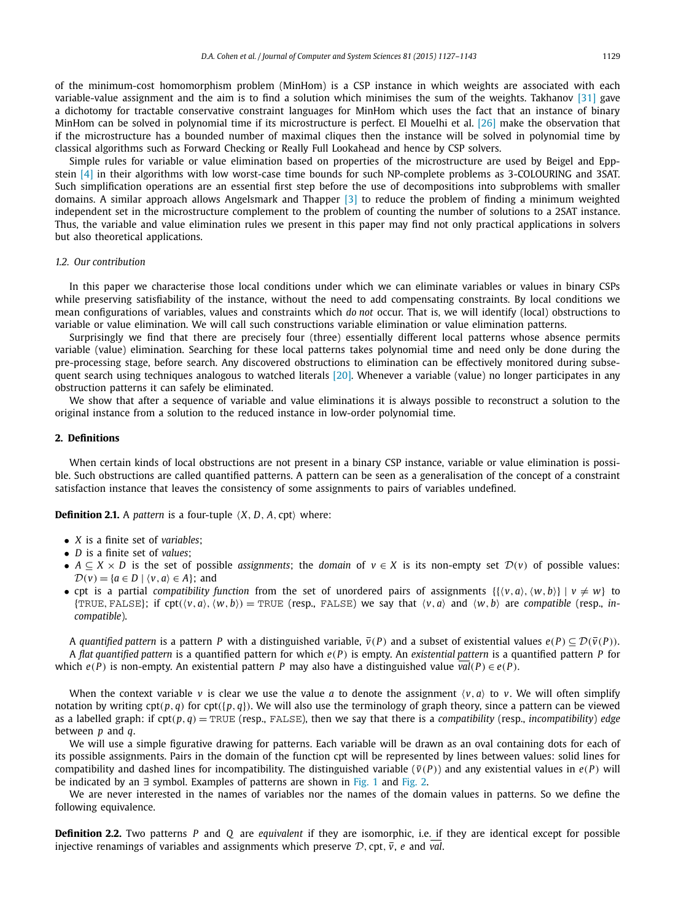of the minimum-cost homomorphism problem (MinHom) is a CSP instance in which weights are associated with each variable-value assignment and the aim is to find a solution which minimises the sum of the weights. Takhanov [\[31\]](#page-16-0) gave a dichotomy for tractable conservative constraint languages for MinHom which uses the fact that an instance of binary MinHom can be solved in polynomial time if its microstructure is perfect. El Mouelhi et al. [\[26\]](#page-16-0) make the observation that if the microstructure has a bounded number of maximal cliques then the instance will be solved in polynomial time by classical algorithms such as Forward Checking or Really Full Lookahead and hence by CSP solvers.

Simple rules for variable or value elimination based on properties of the microstructure are used by Beigel and Eppstein [\[4\]](#page-15-0) in their algorithms with low worst-case time bounds for such NP-complete problems as 3-COLOURING and 3SAT. Such simplification operations are an essential first step before the use of decompositions into subproblems with smaller domains. A similar approach allows Angelsmark and Thapper [\[3\]](#page-15-0) to reduce the problem of finding a minimum weighted independent set in the microstructure complement to the problem of counting the number of solutions to a 2SAT instance. Thus, the variable and value elimination rules we present in this paper may find not only practical applications in solvers but also theoretical applications.

# *1.2. Our contribution*

In this paper we characterise those local conditions under which we can eliminate variables or values in binary CSPs while preserving satisfiability of the instance, without the need to add compensating constraints. By local conditions we mean configurations of variables, values and constraints which *do not* occur. That is, we will identify (local) obstructions to variable or value elimination. We will call such constructions variable elimination or value elimination patterns.

Surprisingly we find that there are precisely four (three) essentially different local patterns whose absence permits variable (value) elimination. Searching for these local patterns takes polynomial time and need only be done during the pre-processing stage, before search. Any discovered obstructions to elimination can be effectively monitored during subsequent search using techniques analogous to watched literals [\[20\].](#page-16-0) Whenever a variable (value) no longer participates in any obstruction patterns it can safely be eliminated.

We show that after a sequence of variable and value eliminations it is always possible to reconstruct a solution to the original instance from a solution to the reduced instance in low-order polynomial time.

# **2. Definitions**

When certain kinds of local obstructions are not present in a binary CSP instance, variable or value elimination is possible. Such obstructions are called quantified patterns. A pattern can be seen as a generalisation of the concept of a constraint satisfaction instance that leaves the consistency of some assignments to pairs of variables undefined.

**Definition 2.1.** A *pattern* is a four-tuple  $(X, D, A, \text{cpt})$  where:

- *X* is a finite set of *variables*;
- *D* is a finite set of *values*;
- $A \subseteq X \times D$  is the set of possible *assignments*; the *domain* of  $v \in X$  is its non-empty set  $\mathcal{D}(v)$  of possible values:  $D(v) = {a \in D \mid \langle v, a \rangle \in A}$ ; and
- cpt is a partial *compatibility function* from the set of unordered pairs of assignments  $\{\{\langle v, a \rangle, \langle w, b \rangle\} \mid v \neq w\}$  to {TRUE, FALSE}; if cpt( $\langle v, a \rangle$ ,  $\langle w, b \rangle$ ) = TRUE (resp., FALSE) we say that  $\langle v, a \rangle$  and  $\langle w, b \rangle$  are compatible (resp., in*compatible*).

A quantified pattern is a pattern P with a distinguished variable,  $\bar{v}(P)$  and a subset of existential values  $e(P) \subseteq \mathcal{D}(\bar{v}(P))$ . A *flat quantified pattern* is a quantified pattern for which *e(P)* is empty. An *existential pattern* is a quantified pattern *P* for which  $e(P)$  is non-empty. An existential pattern *P* may also have a distinguished value  $\overline{val}(P) \in e(P)$ .

When the context variable *v* is clear we use the value *a* to denote the assignment  $\langle v, a \rangle$  to *v*. We will often simplify notation by writing cpt $(p, q)$  for cpt $({p, q})$ . We will also use the terminology of graph theory, since a pattern can be viewed as a labelled graph: if cpt*(p, q)* = TRUE (resp., FALSE), then we say that there is a *compatibility* (resp., *incompatibility*) *edge* between *p* and *q*.

We will use a simple figurative drawing for patterns. Each variable will be drawn as an oval containing dots for each of its possible assignments. Pairs in the domain of the function cpt will be represented by lines between values: solid lines for compatibility and dashed lines for incompatibility. The distinguished variable ( $\bar{v}(P)$ ) and any existential values in  $e(P)$  will be indicated by an ∃ symbol. Examples of patterns are shown in [Fig. 1](#page-4-0) and [Fig. 2.](#page-5-0)

We are never interested in the names of variables nor the names of the domain values in patterns. So we define the following equivalence.

**Definition 2.2.** Two patterns *P* and *Q* are *equivalent* if they are isomorphic, i.e. if they are identical except for possible injective renamings of variables and assignments which preserve  $D$ , cpt,  $\overline{v}$ , *e* and *val*.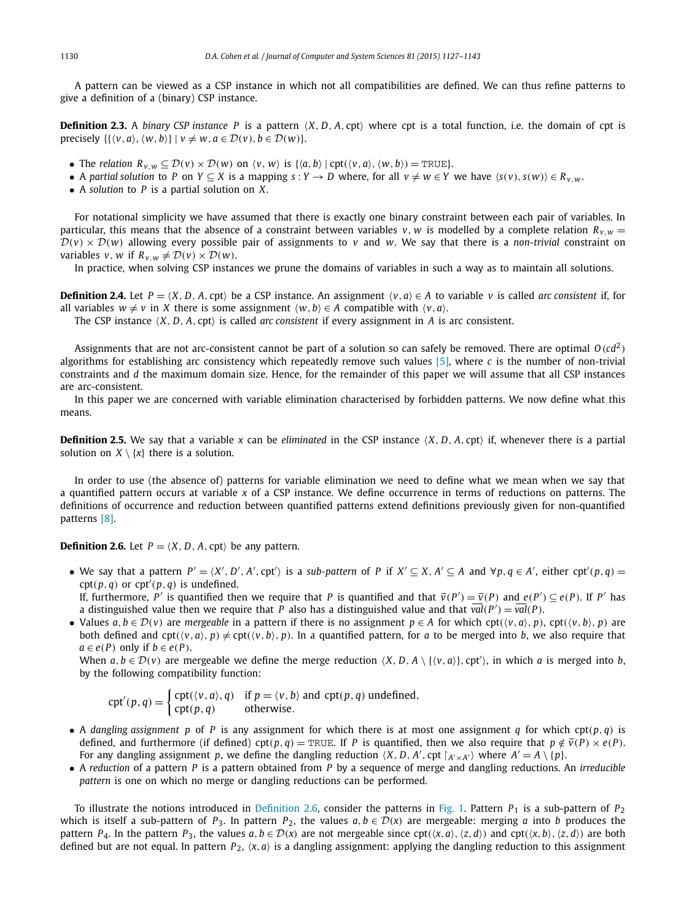<span id="page-3-0"></span>A pattern can be viewed as a CSP instance in which not all compatibilities are defined. We can thus refine patterns to give a definition of a (binary) CSP instance.

**Definition 2.3.** A *binary CSP instance P* is a pattern *X, D, A,* cpt where cpt is a total function, i.e. the domain of cpt is precisely  $\{ \{ \langle v, a \rangle, \langle w, b \rangle \} \mid v \neq w, a \in \mathcal{D}(v), b \in \mathcal{D}(w) \}.$ 

- The relation  $R_{v,w} \subseteq \mathcal{D}(v) \times \mathcal{D}(w)$  on  $\langle v, w \rangle$  is  $\{\langle a, b \rangle \mid \text{cpt}(\langle v, a \rangle, \langle w, b \rangle) = \text{TRUE}\}.$
- A partial solution to P on  $Y \subseteq X$  is a mapping  $s: Y \to D$  where, for all  $v \neq w \in Y$  we have  $\langle s(v), s(w) \rangle \in R_{v,w}$ .
- A *solution* to *P* is a partial solution on *X*.

For notational simplicity we have assumed that there is exactly one binary constraint between each pair of variables. In particular, this means that the absence of a constraint between variables *v*, *w* is modelled by a complete relation  $R_v$   $w =$  $\mathcal{D}(v) \times \mathcal{D}(w)$  allowing every possible pair of assignments to *v* and *w*. We say that there is a *non-trivial* constraint on variables *v*, *w* if  $R_{v,w} \neq \mathcal{D}(v) \times \mathcal{D}(w)$ .

In practice, when solving CSP instances we prune the domains of variables in such a way as to maintain all solutions.

**Definition 2.4.** Let  $P = \langle X, D, A, \text{cpt} \rangle$  be a CSP instance. An assignment  $\langle v, a \rangle \in A$  to variable v is called arc consistent if, for all variables  $w \neq v$  in *X* there is some assignment  $\langle w, b \rangle \in A$  compatible with  $\langle v, a \rangle$ .

The CSP instance  $(X, D, A, \text{cpt})$  is called *arc* consistent if every assignment in *A* is arc consistent.

Assignments that are not arc-consistent cannot be part of a solution so can safely be removed. There are optimal *O(cd*<sup>2</sup>*)* algorithms for establishing arc consistency which repeatedly remove such values [\[5\],](#page-15-0) where *c* is the number of non-trivial constraints and *d* the maximum domain size. Hence, for the remainder of this paper we will assume that all CSP instances are arc-consistent.

In this paper we are concerned with variable elimination characterised by forbidden patterns. We now define what this means.

**Definition 2.5.** We say that a variable *x* can be *eliminated* in the CSP instance  $(X, D, A, \text{cpt})$  if, whenever there is a partial solution on  $X \setminus \{x\}$  there is a solution.

In order to use (the absence of) patterns for variable elimination we need to define what we mean when we say that a quantified pattern occurs at variable *x* of a CSP instance. We define occurrence in terms of reductions on patterns. The definitions of occurrence and reduction between quantified patterns extend definitions previously given for non-quantified patterns [\[8\].](#page-15-0)

**Definition 2.6.** Let  $P = \langle X, D, A, \text{cpt}\rangle$  be any pattern.

- We say that a pattern  $P' = \langle X', D', A', \text{cpt'}\rangle$  is a sub-pattern of P if  $X' \subseteq X$ ,  $A' \subseteq A$  and  $\forall p, q \in A'$ , either  $\text{cpt}'(p,q) =$  $\text{cpt}(p, q)$  or  $\text{cpt}'(p, q)$  is undefined. If, furthermore, P' is quantified then we require that P is quantified and that  $\bar{v}(P') = \bar{v}(P)$  and  $e(P') \subseteq e(P)$ . If P' has a distinguished value then we require that *P* also has a distinguished value and that  $\overline{val}(P') = \overline{val}(P)$ .
- Values  $a, b \in \mathcal{D}(v)$  are *mergeable* in a pattern if there is no assignment  $p \in A$  for which  $\text{cpt}(\langle v, a \rangle, p)$ ,  $\text{cpt}(\langle v, b \rangle, p)$  are both defined and  $\text{cpt}(\langle v, a \rangle, p) \neq \text{cpt}(\langle v, b \rangle, p)$ . In a quantified pattern, for a to be merged into b, we also require that  $a \in e(P)$  only if  $b \in e(P)$ .

When  $a, b \in \mathcal{D}(v)$  are mergeable we define the merge reduction  $\langle X, D, A \setminus \{\langle v, a \rangle\}, \text{cpt}\rangle$ , in which a is merged into b, by the following compatibility function:

 $\text{cpt}'(p,q) = \begin{cases} \text{cpt}'(v,a), q) & \text{if } p = \langle v, b \rangle \text{ and } \text{cpt}(p,q) \text{ undefined,} \\ \text{crit}(p,q) & \text{otherwise.} \end{cases}$ cpt*(p, q)* otherwise*.*

- A *dangling assignment p* of *P* is any assignment for which there is at most one assignment *q* for which cpt*(p, q)* is defined, and furthermore (if defined)  $\text{cpt}(p,q) = \text{TRUE}$ . If P is quantified, then we also require that  $p \notin \overline{v}(P) \times e(P)$ . For any dangling assignment p, we define the dangling reduction  $\langle X, D, A', \text{cpt}\rangle_{A'\times A'}$  where  $A' = A \setminus \{p\}$ .
- A *reduction* of a pattern *P* is a pattern obtained from *P* by a sequence of merge and dangling reductions. An *irreducible pattern* is one on which no merge or dangling reductions can be performed.

To illustrate the notions introduced in Definition 2.6, consider the patterns in [Fig. 1.](#page-4-0) Pattern  $P_1$  is a sub-pattern of  $P_2$ which is itself a sub-pattern of  $P_3$ . In pattern  $P_2$ , the values  $a, b \in \mathcal{D}(x)$  are mergeable: merging  $a$  into  $b$  produces the pattern  $P_4$ . In the pattern  $P_3$ , the values  $a, b \in \mathcal{D}(x)$  are not mergeable since  $cpt(\langle x, a \rangle, \langle z, d \rangle)$  and  $cpt(\langle x, b \rangle, \langle z, d \rangle)$  are both defined but are not equal. In pattern  $P_2$ ,  $\langle x, a \rangle$  is a dangling assignment: applying the dangling reduction to this assignment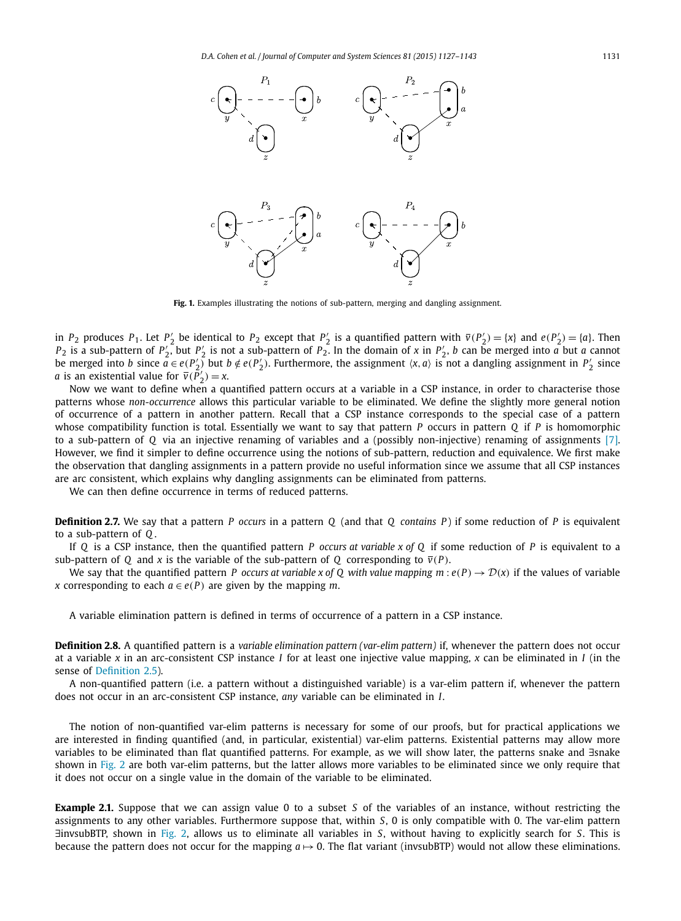<span id="page-4-0"></span>

**Fig. 1.** Examples illustrating the notions of sub-pattern, merging and dangling assignment.

in  $P_2$  produces  $P_1$ . Let  $P'_2$  be identical to  $P_2$  except that  $P'_2$  is a quantified pattern with  $\bar{v}(P'_2) = \{x\}$  and  $e(P'_2) = \{a\}$ . Then  $P_2$  is a sub-pattern of  $P'_2$ , but  $P'_2$  is not a sub-pattern of  $P_2$ . In the domain of x in  $P'_2$ , b can be merged into  $\alpha$  but  $\alpha$  cannot be merged into b since  $\alpha \in e(P'_2)$  but  $b \notin e(P'_2)$ . Furthermore, the assignme *a* is an existential value for  $\overline{v}(\overline{P}_2') = x$ .

Now we want to define when a quantified pattern occurs at a variable in a CSP instance, in order to characterise those patterns whose *non-occurrence* allows this particular variable to be eliminated. We define the slightly more general notion of occurrence of a pattern in another pattern. Recall that a CSP instance corresponds to the special case of a pattern whose compatibility function is total. Essentially we want to say that pattern *P* occurs in pattern *Q* if *P* is homomorphic to a sub-pattern of *Q* via an injective renaming of variables and a (possibly non-injective) renaming of assignments [\[7\].](#page-15-0) However, we find it simpler to define occurrence using the notions of sub-pattern, reduction and equivalence. We first make the observation that dangling assignments in a pattern provide no useful information since we assume that all CSP instances are arc consistent, which explains why dangling assignments can be eliminated from patterns.

We can then define occurrence in terms of reduced patterns.

**Definition 2.7.** We say that a pattern *P occurs* in a pattern *Q* (and that *Q contains P* ) if some reduction of *P* is equivalent to a sub-pattern of *Q* .

If *Q* is a CSP instance, then the quantified pattern *P occurs at variable x of Q* if some reduction of *P* is equivalent to a sub-pattern of *Q* and *x* is the variable of the sub-pattern of *Q* corresponding to  $\bar{v}(P)$ .

We say that the quantified pattern *P* occurs at variable *x* of *Q* with value mapping  $m : e(P) \to \mathcal{D}(x)$  if the values of variable *x* corresponding to each  $a \in e(P)$  are given by the mapping *m*.

A variable elimination pattern is defined in terms of occurrence of a pattern in a CSP instance.

**Definition 2.8.** A quantified pattern is a *variable elimination pattern (var-elim pattern)* if, whenever the pattern does not occur at a variable *x* in an arc-consistent CSP instance *I* for at least one injective value mapping, *x* can be eliminated in *I* (in the sense of [Definition 2.5\)](#page-3-0).

A non-quantified pattern (i.e. a pattern without a distinguished variable) is a var-elim pattern if, whenever the pattern does not occur in an arc-consistent CSP instance, *any* variable can be eliminated in *I*.

The notion of non-quantified var-elim patterns is necessary for some of our proofs, but for practical applications we are interested in finding quantified (and, in particular, existential) var-elim patterns. Existential patterns may allow more variables to be eliminated than flat quantified patterns. For example, as we will show later, the patterns snake and ∃snake shown in [Fig. 2](#page-5-0) are both var-elim patterns, but the latter allows more variables to be eliminated since we only require that it does not occur on a single value in the domain of the variable to be eliminated.

**Example 2.1.** Suppose that we can assign value 0 to a subset *S* of the variables of an instance, without restricting the assignments to any other variables. Furthermore suppose that, within *S*, 0 is only compatible with 0. The var-elim pattern ∃invsubBTP, shown in [Fig. 2,](#page-5-0) allows us to eliminate all variables in *S*, without having to explicitly search for *S*. This is because the pattern does not occur for the mapping  $a \mapsto 0$ . The flat variant (invsubBTP) would not allow these eliminations.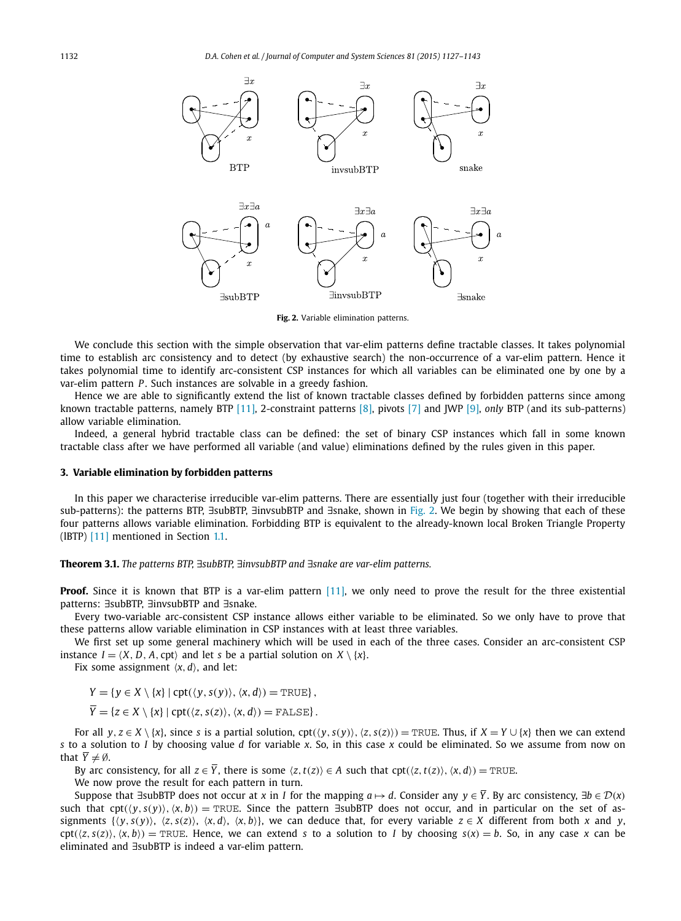<span id="page-5-0"></span>

**Fig. 2.** Variable elimination patterns.

We conclude this section with the simple observation that var-elim patterns define tractable classes. It takes polynomial time to establish arc consistency and to detect (by exhaustive search) the non-occurrence of a var-elim pattern. Hence it takes polynomial time to identify arc-consistent CSP instances for which all variables can be eliminated one by one by a var-elim pattern *P*. Such instances are solvable in a greedy fashion.

Hence we are able to significantly extend the list of known tractable classes defined by forbidden patterns since among known tractable patterns, namely BTP [\[11\],](#page-15-0) 2-constraint patterns [\[8\],](#page-15-0) pivots [\[7\]](#page-15-0) and JWP [\[9\],](#page-15-0) *only* BTP (and its sub-patterns) allow variable elimination.

Indeed, a general hybrid tractable class can be defined: the set of binary CSP instances which fall in some known tractable class after we have performed all variable (and value) eliminations defined by the rules given in this paper.

# **3. Variable elimination by forbidden patterns**

In this paper we characterise irreducible var-elim patterns. There are essentially just four (together with their irreducible sub-patterns): the patterns BTP, ∃subBTP, ∃invsubBTP and ∃snake, shown in Fig. 2. We begin by showing that each of these four patterns allows variable elimination. Forbidding BTP is equivalent to the already-known local Broken Triangle Property (lBTP) [\[11\]](#page-15-0) mentioned in Section [1.1](#page-1-0).

**Theorem 3.1.** *The patterns BTP,* ∃*subBTP,* ∃*invsubBTP and* ∃*snake are var-elim patterns.*

**Proof.** Since it is known that BTP is a var-elim pattern [\[11\],](#page-15-0) we only need to prove the result for the three existential patterns: ∃subBTP, ∃invsubBTP and ∃snake.

Every two-variable arc-consistent CSP instance allows either variable to be eliminated. So we only have to prove that these patterns allow variable elimination in CSP instances with at least three variables.

We first set up some general machinery which will be used in each of the three cases. Consider an arc-consistent CSP instance  $I = \langle X, D, A, \text{cpt}\rangle$  and let *s* be a partial solution on  $X \setminus \{x\}.$ 

Fix some assignment  $\langle x, d \rangle$ , and let:

$$
Y = \{ y \in X \setminus \{x\} \mid \text{cpt}(\langle y, s(y) \rangle, \langle x, d \rangle) = \text{TRUE} \},
$$

$$
\overline{Y} = \{ z \in X \setminus \{x\} \mid \text{cpt}(\langle z, s(z) \rangle, \langle x, d \rangle) = \text{FALSE} \}.
$$

For all  $y, z \in X \setminus \{x\}$ , since s is a partial solution,  $cpt(\langle y, s(y) \rangle, \langle z, s(z) \rangle) = \text{TRUE}$ . Thus, if  $X = Y \cup \{x\}$  then we can extend *s* to a solution to *I* by choosing value *d* for variable *x*. So, in this case *x* could be eliminated. So we assume from now on that  $\overline{Y} \neq \emptyset$ .

By arc consistency, for all  $z \in \overline{Y}$ , there is some  $\langle z, t(z) \rangle \in A$  such that  $\text{cpt}\langle \langle z, t(z) \rangle, \langle x, d \rangle) = \text{TRUE}$ .

We now prove the result for each pattern in turn.

Suppose that  $\exists$ subBTP does not occur at *x* in *I* for the mapping  $a \mapsto d$ . Consider any  $y \in \overline{Y}$ . By arc consistency,  $\exists b \in \mathcal{D}(x)$ such that  $\text{cpt}(y, s(y))$ ,  $(x, b)$  = TRUE. Since the pattern  $\exists \text{subBTP}$  does not occur, and in particular on the set of assignments  $\{(y, s(y)), (z, s(z)), (x, d), (x, b)\}\$ , we can deduce that, for every variable  $z \in X$  different from both x and y,  $\text{cpt}(\langle z, s(z) \rangle, \langle x, b \rangle) = \text{TRUE}$ . Hence, we can extend s to a solution to I by choosing  $s(x) = b$ . So, in any case x can be eliminated and ∃subBTP is indeed a var-elim pattern.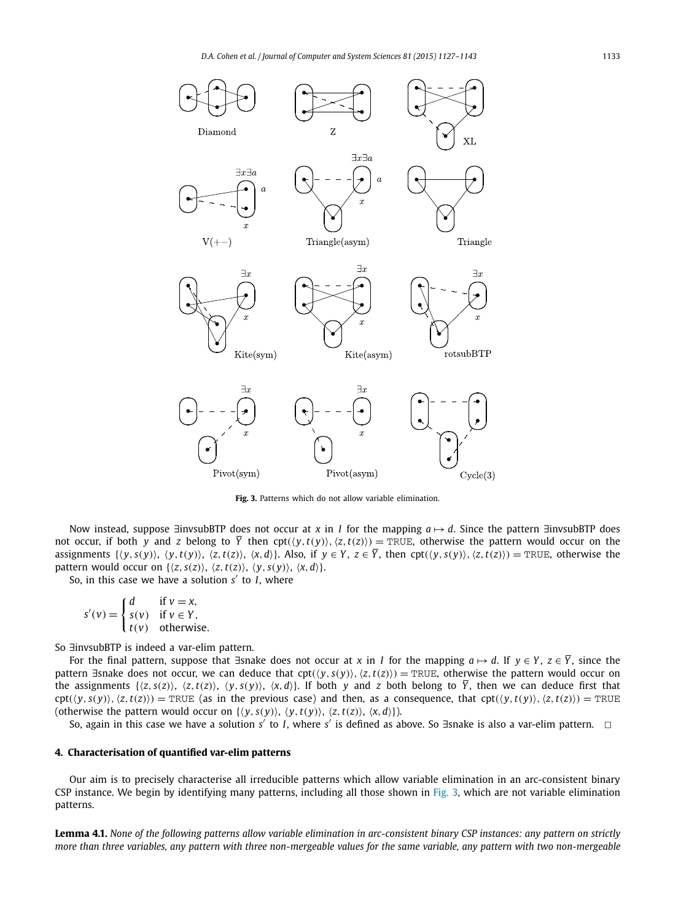<span id="page-6-0"></span>

**Fig. 3.** Patterns which do not allow variable elimination.

Now instead, suppose ∃invsubBTP does not occur at *x* in *I* for the mapping *a* → *d*. Since the pattern ∃invsubBTP does not occur, if both y and z belong to  $\overline{Y}$  then cpt( $\langle y, t(y) \rangle$ ,  $\langle z, t(z) \rangle$ ) = TRUE, otherwise the pattern would occur on the assignments  $\{\langle y, s(y) \rangle, \langle y, t(y) \rangle, \langle z, t(z) \rangle, \langle x, d \rangle\}$ . Also, if  $y \in Y$ ,  $z \in \overline{Y}$ , then  $\text{cpt}(\langle y, s(y) \rangle, \langle z, t(z) \rangle) = \text{TRUE}$ , otherwise the pattern would occur on  $\{\langle z, s(z) \rangle, \langle z, t(z) \rangle, \langle y, s(y) \rangle, \langle x, d \rangle\}.$ 

So, in this case we have a solution *s'* to *I*, where

 $s'(v) =$  $\int d$  if  $v = x$ ,  $s(v)$  if  $v \in Y$ , *t(v)* otherwise*.*

So ∃invsubBTP is indeed a var-elim pattern.

For the final pattern, suppose that ∃snake does not occur at *x* in *I* for the mapping  $a \mapsto d$ . If  $y \in Y$ ,  $z \in \overline{Y}$ , since the pattern ∃snake does not occur, we can deduce that  $cpt(x, s(y)), (z, t(z))$  = TRUE, otherwise the pattern would occur on the assignments  $\{\langle z, s(z)\rangle, \langle z, t(z)\rangle, \langle y, s(y)\rangle, \langle x, d\rangle\}.$  If both y and z both belong to  $\overline{Y}$ , then we can deduce first that  $\text{cpt}(\langle y, s(y)\rangle, \langle z, t(z)\rangle) = \text{TRUE}$  (as in the previous case) and then, as a consequence, that  $\text{cpt}(\langle y, t(y)\rangle, \langle z, t(z)\rangle) = \text{TRUE}$ (otherwise the pattern would occur on  $\{\langle y, s(y) \rangle, \langle y, t(y) \rangle, \langle z, t(z) \rangle, \langle x, d \rangle\}$ ).

So, again in this case we have a solution *s'* to *I*, where *s'* is defined as above. So ∃snake is also a var-elim pattern. <del>△</del>

# **4. Characterisation of quantified var-elim patterns**

Our aim is to precisely characterise all irreducible patterns which allow variable elimination in an arc-consistent binary CSP instance. We begin by identifying many patterns, including all those shown in Fig. 3, which are not variable elimination patterns.

Lemma 4.1. None of the following patterns allow variable elimination in arc-consistent binary CSP instances: any pattern on strictly more than three variables, any pattern with three non-mergeable values for the same variable, any pattern with two non-mergeable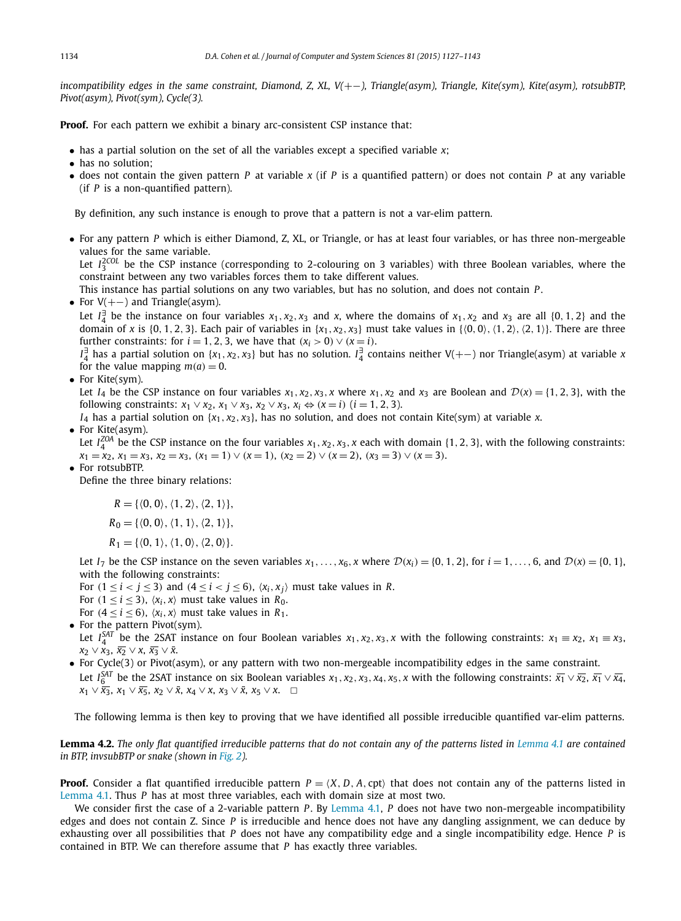<span id="page-7-0"></span>incompatibility edges in the same constraint, Diamond, Z, XL,  $V(+-)$ , Triangle(asym), Triangle, Kite(sym), Kite(asym), rotsubBTP, *Pivot(asym), Pivot(sym), Cycle(3).*

**Proof.** For each pattern we exhibit a binary arc-consistent CSP instance that:

- has a partial solution on the set of all the variables except a specified variable *x*;
- has no solution;
- does not contain the given pattern *P* at variable *x* (if *P* is a quantified pattern) or does not contain *P* at any variable (if *P* is a non-quantified pattern).

By definition, any such instance is enough to prove that a pattern is not a var-elim pattern.

• For any pattern *P* which is either Diamond, Z, XL, or Triangle, or has at least four variables, or has three non-mergeable values for the same variable.

Let  $I_3^{2COL}$  be the CSP instance (corresponding to 2-colouring on 3 variables) with three Boolean variables, where the constraint between any two variables forces them to take different values.

This instance has partial solutions on any two variables, but has no solution, and does not contain *P* .

• For  $V(+-)$  and Triangle(asym).

Let  $I_4^{\exists}$  be the instance on four variables  $x_1, x_2, x_3$  and *x*, where the domains of  $x_1, x_2$  and  $x_3$  are all  $\{0, 1, 2\}$  and the domain of *x* is {0, 1, 2, 3}. Each pair of variables in {*x*<sub>1</sub>, *x*<sub>2</sub>, *x*<sub>3</sub>} must take values in { $(0, 0)$ ,  $\langle 1, 2 \rangle$ ,  $\langle 2, 1 \rangle$ }. There are three further constraints: for  $i = 1, 2, 3$ , we have that  $(x_i > 0) \vee (x = i)$ .

*I* ∃ <sup>4</sup> has <sup>a</sup> partial solution on {*x*1*, <sup>x</sup>*2*, <sup>x</sup>*3} but has no solution. *<sup>I</sup>* ∃ <sup>4</sup> contains neither V(+−) nor Triangle(asym) at variable *<sup>x</sup>* for the value mapping  $m(a) = 0$ .

• For Kite(sym).

Let  $I_4$  be the CSP instance on four variables  $x_1, x_2, x_3, x$  where  $x_1, x_2$  and  $x_3$  are Boolean and  $\mathcal{D}(x) = \{1, 2, 3\}$ , with the following constraints:  $x_1 \vee x_2$ ,  $x_1 \vee x_3$ ,  $x_2 \vee x_3$ ,  $x_i \Leftrightarrow (x = i)$   $(i = 1, 2, 3)$ .

 $I_4$  has a partial solution on  $\{x_1, x_2, x_3\}$ , has no solution, and does not contain Kite(sym) at variable *x*.

• For Kite(asym).

Let  $I_4^{Z0A}$  be the CSP instance on the four variables  $x_1, x_2, x_3, x$  each with domain  $\{1, 2, 3\}$ , with the following constraints:  $x_1 = x_2$ ,  $x_1 = x_3$ ,  $x_2 = x_3$ ,  $(x_1 = 1) \vee (x = 1)$ ,  $(x_2 = 2) \vee (x = 2)$ ,  $(x_3 = 3) \vee (x = 3)$ .

• For rotsubBTP.

Define the three binary relations:

 $R = \{ (0, 0), (1, 2), (2, 1) \},\$  $R_0 = \{ (0, 0), (1, 1), (2, 1) \},\$  $R_1 = \{ \langle 0, 1 \rangle, \langle 1, 0 \rangle, \langle 2, 0 \rangle \}.$ 

Let  $I_7$  be the CSP instance on the seven variables  $x_1, \ldots, x_6, x$  where  $\mathcal{D}(x_i) = \{0, 1, 2\}$ , for  $i = 1, \ldots, 6$ , and  $\mathcal{D}(x) = \{0, 1\}$ , with the following constraints:

For  $(1 \le i < j \le 3)$  and  $(4 \le i < j \le 6)$ ,  $\langle x_i, x_j \rangle$  must take values in *R*.

- For  $(1 \le i \le 3)$ ,  $\langle x_i, x \rangle$  must take values in  $R_0$ .
- For  $(4 \le i \le 6)$ ,  $\langle x_i, x \rangle$  must take values in  $R_1$ .
- For the pattern Pivot(sym). Let  $I_4^{SAT}$  be the 2SAT instance on four Boolean variables  $x_1, x_2, x_3, x$  with the following constraints:  $x_1 \equiv x_2, x_1 \equiv x_3,$  $x_2 \vee x_3$ ,  $\overline{x_2} \vee x$ ,  $\overline{x_3} \vee \overline{x}$ .
- For Cycle(3) or Pivot(asym), or any pattern with two non-mergeable incompatibility edges in the same constraint.

Let  $I_6^{SAT}$  be the 2SAT instance on six Boolean variables  $x_1, x_2, x_3, x_4, x_5, x$  with the following constraints:  $\overline{x_1}\vee \overline{x_2}$ ,  $\overline{x_1}\vee \overline{x_4}$ , *x*<sub>1</sub> ∨  $\overline{x_3}$ , *x*<sub>1</sub> ∨  $\overline{x_5}$ , *x*<sub>2</sub> ∨  $\overline{x}$ , *x*<sub>4</sub> ∨ *x*, *x*<sub>3</sub> ∨ *x*, *x*<sub>5</sub> ∨ *x*. □

The following lemma is then key to proving that we have identified all possible irreducible quantified var-elim patterns.

**Lemma 4.2.** The only flat quantified irreducible patterns that do not contain any of the patterns listed in [Lemma 4.1](#page-6-0) are contained *in BTP, invsubBTP or snake (shown in [Fig. 2\)](#page-5-0).*

**Proof.** Consider a flat quantified irreducible pattern  $P = \langle X, D, A, \text{cpt}\rangle$  that does not contain any of the patterns listed in [Lemma 4.1.](#page-6-0) Thus *P* has at most three variables, each with domain size at most two.

We consider first the case of a 2-variable pattern P. By [Lemma 4.1,](#page-6-0) P does not have two non-mergeable incompatibility edges and does not contain Z. Since *P* is irreducible and hence does not have any dangling assignment, we can deduce by exhausting over all possibilities that *P* does not have any compatibility edge and a single incompatibility edge. Hence *P* is contained in BTP. We can therefore assume that *P* has exactly three variables.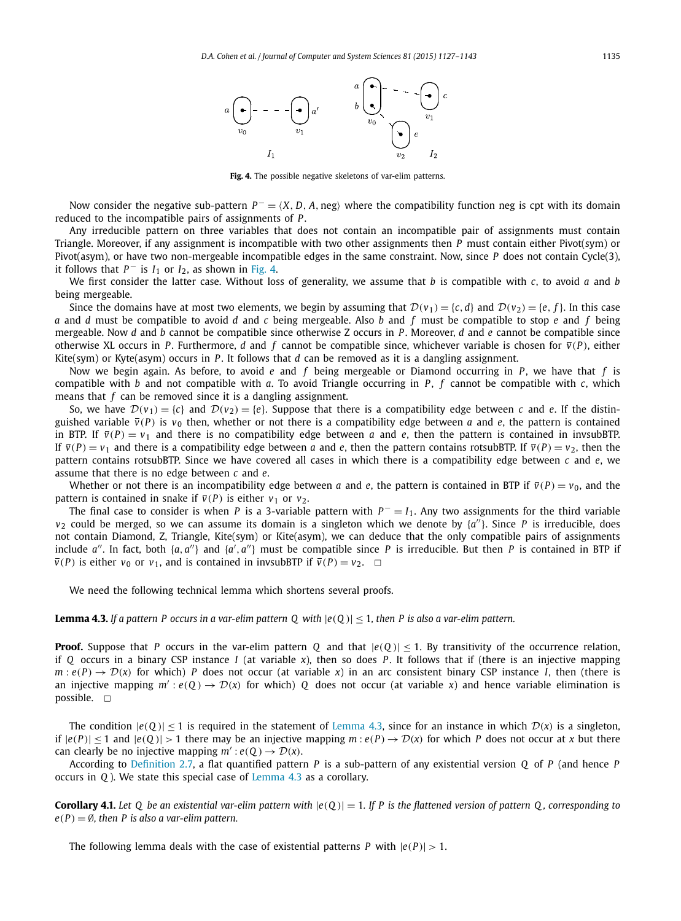

**Fig. 4.** The possible negative skeletons of var-elim patterns.

<span id="page-8-0"></span>Now consider the negative sub-pattern  $P^- = \langle X, D, A, \text{neg} \rangle$  where the compatibility function neg is cpt with its domain reduced to the incompatible pairs of assignments of *P* .

Any irreducible pattern on three variables that does not contain an incompatible pair of assignments must contain Triangle. Moreover, if any assignment is incompatible with two other assignments then *P* must contain either Pivot(sym) or Pivot(asym), or have two non-mergeable incompatible edges in the same constraint. Now, since *P* does not contain Cycle(3), it follows that  $P^-$  is  $I_1$  or  $I_2$ , as shown in Fig. 4.

We first consider the latter case. Without loss of generality, we assume that *b* is compatible with *c*, to avoid *a* and *b* being mergeable.

Since the domains have at most two elements, we begin by assuming that  $\mathcal{D}(v_1) = \{c, d\}$  and  $\mathcal{D}(v_2) = \{e, f\}$ . In this case *a* and *d* must be compatible to avoid *d* and *c* being mergeable. Also *b* and *f* must be compatible to stop *e* and *f* being mergeable. Now *d* and *b* cannot be compatible since otherwise Z occurs in *P* . Moreover, *d* and *e* cannot be compatible since otherwise XL occurs in P. Furthermore, *d* and *f* cannot be compatible since, whichever variable is chosen for  $\bar{v}(P)$ , either Kite(sym) or Kyte(asym) occurs in *P* . It follows that *d* can be removed as it is a dangling assignment.

Now we begin again. As before, to avoid *e* and *f* being mergeable or Diamond occurring in *P* , we have that *f* is compatible with *b* and not compatible with *a*. To avoid Triangle occurring in *P* , *f* cannot be compatible with *c*, which means that *f* can be removed since it is a dangling assignment.

So, we have  $\mathcal{D}(v_1) = \{c\}$  and  $\mathcal{D}(v_2) = \{e\}$ . Suppose that there is a compatibility edge between *c* and *e*. If the distinguished variable  $\bar{v}(P)$  is  $v_0$  then, whether or not there is a compatibility edge between *a* and *e*, the pattern is contained in BTP. If  $\overline{v}(P) = v_1$  and there is no compatibility edge between *a* and *e*, then the pattern is contained in invsubBTP. If  $\bar{v}(P) = v_1$  and there is a compatibility edge between *a* and *e*, then the pattern contains rotsubBTP. If  $\bar{v}(P) = v_2$ , then the pattern contains rotsubBTP. Since we have covered all cases in which there is a compatibility edge between *c* and *e*, we assume that there is no edge between *c* and *e*.

Whether or not there is an incompatibility edge between *a* and *e*, the pattern is contained in BTP if  $\bar{v}(P) = v_0$ , and the pattern is contained in snake if  $\overline{v}(P)$  is either  $v_1$  or  $v_2$ .

The final case to consider is when *<sup>P</sup>* is <sup>a</sup> 3-variable pattern with *<sup>P</sup>*<sup>−</sup> = *<sup>I</sup>*1. Any two assignments for the third variable *<sup>v</sup>*<sup>2</sup> could be merged, so we can assume its domain is <sup>a</sup> singleton which we denote by {*<sup>a</sup>* }. Since *P* is irreducible, does not contain Diamond, Z, Triangle, Kite(sym) or Kite(asym), we can deduce that the only compatible pairs of assignments include  $a''$ . In fact, both  $\{a, a''\}$  and  $\{a', a''\}$  must be compatible since *P* is irreducible. But then *P* is contained in BTP if  $\overline{v}(P)$  is either  $v_0$  or  $v_1$ , and is contained in invsubBTP if  $\overline{v}(P) = v_2$ .  $\Box$ 

We need the following technical lemma which shortens several proofs.

**Lemma 4.3.** If a pattern P occurs in a var-elim pattern Q with  $|e(Q)| \le 1$ , then P is also a var-elim pattern.

**Proof.** Suppose that *P* occurs in the var-elim pattern *Q* and that  $|e(Q)| \le 1$ . By transitivity of the occurrence relation, if *Q* occurs in a binary CSP instance *I* (at variable *x*), then so does *P* . It follows that if (there is an injective mapping  $m: e(P) \to \mathcal{D}(x)$  for which) *P* does not occur (at variable *x*) in an arc consistent binary CSP instance *I*, then (there is an injective mapping  $m': e(Q) \to \mathcal{D}(x)$  for which) Q does not occur (at variable *x*) and hence variable elimination is possible.  $\square$ 

The condition  $|e(Q)| < 1$  is required in the statement of Lemma 4.3, since for an instance in which  $D(x)$  is a singleton, if  $|e(P)| \le 1$  and  $|e(Q)| > 1$  there may be an injective mapping  $m : e(P) \to \mathcal{D}(x)$  for which P does not occur at x but there can clearly be no injective mapping  $m'$  :  $e(Q) \rightarrow \mathcal{D}(x)$ .

According to [Definition 2.7,](#page-4-0) a flat quantified pattern *P* is a sub-pattern of any existential version *Q* of *P* (and hence *P* occurs in *Q* ). We state this special case of Lemma 4.3 as a corollary.

**Corollary 4.1.** Let Q be an existential var-elim pattern with  $|e(Q)| = 1$ . If P is the flattened version of pattern Q, corresponding to  $e(P) = \emptyset$ , *then P is also a var-elim pattern.* 

The following lemma deals with the case of existential patterns *P* with  $|e(P)| > 1$ .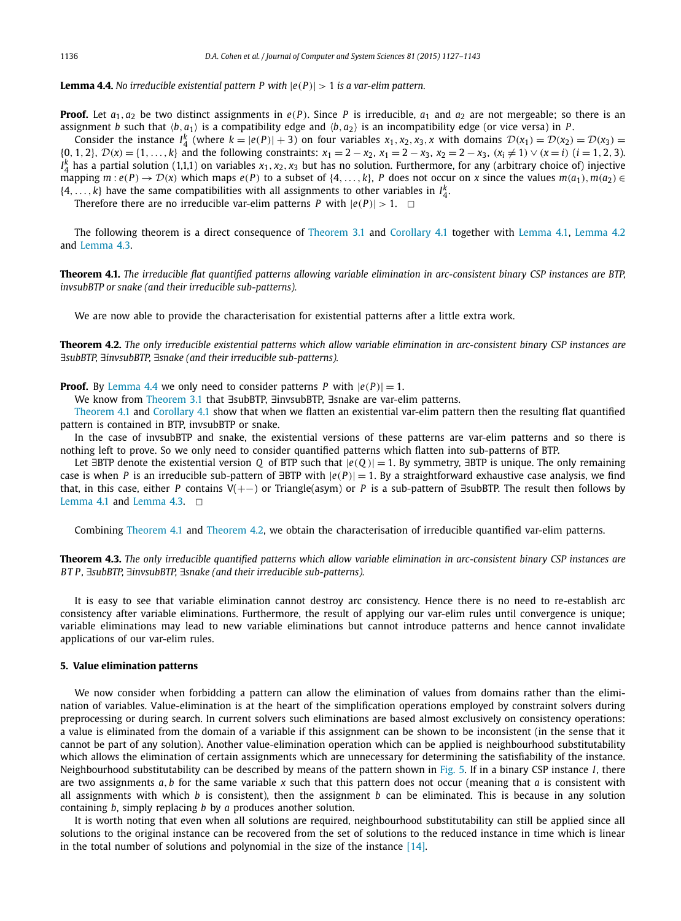### <span id="page-9-0"></span>**Lemma 4.4.** No irreducible existential pattern P with  $|e(P)| > 1$  is a var-elim pattern.

**Proof.** Let  $a_1, a_2$  be two distinct assignments in  $e(P)$ . Since P is irreducible,  $a_1$  and  $a_2$  are not mergeable; so there is an assignment *b* such that  $\langle b, a_1 \rangle$  is a compatibility edge and  $\langle b, a_2 \rangle$  is an incompatibility edge (or vice versa) in *P*.

Consider the instance  $I_4^k$  (where  $k = |e(P)| + 3$ ) on four variables  $x_1, x_2, x_3, x$  with domains  $\mathcal{D}(x_1) = \mathcal{D}(x_2) = \mathcal{D}(x_3) =$  $\{0, 1, 2\}, \mathcal{D}(x) = \{1, \ldots, k\}$  and the following constraints:  $x_1 = 2 - x_2$ ,  $x_1 = 2 - x_3$ ,  $x_2 = 2 - x_3$ ,  $(x_i \neq 1) \vee (x = i)$   $(i = 1, 2, 3)$ .  $I_4^k$  has a partial solution (1,1,1) on variables  $x_1, x_2, x_3$  but has no solution. Furthermore, for any (arbitrary choice of) injective mapping  $m: e(P) \to \mathcal{D}(x)$  which maps  $e(P)$  to a subset of  $\{4, ..., k\}$ , P does not occur on x since the values  $m(a_1), m(a_2) \in$  $\{4, \ldots, k\}$  have the same compatibilities with all assignments to other variables in  $I_4^k$ .

Therefore there are no irreducible var-elim patterns *P* with  $|e(P)| > 1$ .  $\Box$ 

The following theorem is a direct consequence of [Theorem 3.1](#page-5-0) and [Corollary 4.1](#page-8-0) together with [Lemma 4.1,](#page-6-0) [Lemma 4.2](#page-7-0) and [Lemma 4.3.](#page-8-0)

**Theorem 4.1.** The irreducible flat quantified patterns allowing variable elimination in arc-consistent binary CSP instances are BTP. *invsubBTP or snake (and their irreducible sub-patterns).*

We are now able to provide the characterisation for existential patterns after a little extra work.

Theorem 4.2. The only irreducible existential patterns which allow variable elimination in arc-consistent binary CSP instances are ∃*subBTP,* ∃*invsubBTP,* ∃*snake (and their irreducible sub-patterns).*

**Proof.** By Lemma 4.4 we only need to consider patterns *P* with  $|e(P)| = 1$ .

We know from [Theorem 3.1](#page-5-0) that ∃subBTP, ∃invsubBTP, ∃snake are var-elim patterns.

Theorem 4.1 and [Corollary 4.1](#page-8-0) show that when we flatten an existential var-elim pattern then the resulting flat quantified pattern is contained in BTP, invsubBTP or snake.

In the case of invsubBTP and snake, the existential versions of these patterns are var-elim patterns and so there is nothing left to prove. So we only need to consider quantified patterns which flatten into sub-patterns of BTP.

Let ∃BTP denote the existential version *Q* of BTP such that |*e(Q )*| = 1. By symmetry, ∃BTP is unique. The only remaining case is when *P* is an irreducible sub-pattern of ∃BTP with |*e(P)*| = 1. By a straightforward exhaustive case analysis, we find that, in this case, either *P* contains V(+−) or Triangle(asym) or *P* is a sub-pattern of ∃subBTP. The result then follows by [Lemma 4.1](#page-6-0) and [Lemma 4.3.](#page-8-0)  $\Box$ 

Combining Theorem 4.1 and Theorem 4.2, we obtain the characterisation of irreducible quantified var-elim patterns.

Theorem 4.3. The only irreducible quantified patterns which allow variable elimination in arc-consistent binary CSP instances are *BT P,* ∃*subBTP,* ∃*invsubBTP,* ∃*snake (and their irreducible sub-patterns).*

It is easy to see that variable elimination cannot destroy arc consistency. Hence there is no need to re-establish arc consistency after variable eliminations. Furthermore, the result of applying our var-elim rules until convergence is unique; variable eliminations may lead to new variable eliminations but cannot introduce patterns and hence cannot invalidate applications of our var-elim rules.

# **5. Value elimination patterns**

We now consider when forbidding a pattern can allow the elimination of values from domains rather than the elimination of variables. Value-elimination is at the heart of the simplification operations employed by constraint solvers during preprocessing or during search. In current solvers such eliminations are based almost exclusively on consistency operations: a value is eliminated from the domain of a variable if this assignment can be shown to be inconsistent (in the sense that it cannot be part of any solution). Another value-elimination operation which can be applied is neighbourhood substitutability which allows the elimination of certain assignments which are unnecessary for determining the satisfiability of the instance. Neighbourhood substitutability can be described by means of the pattern shown in [Fig. 5.](#page-10-0) If in a binary CSP instance *I*, there are two assignments *a, b* for the same variable *x* such that this pattern does not occur (meaning that *a* is consistent with all assignments with which *b* is consistent), then the assignment *b* can be eliminated. This is because in any solution containing *b*, simply replacing *b* by *a* produces another solution.

It is worth noting that even when all solutions are required, neighbourhood substitutability can still be applied since all solutions to the original instance can be recovered from the set of solutions to the reduced instance in time which is linear in the total number of solutions and polynomial in the size of the instance [\[14\].](#page-15-0)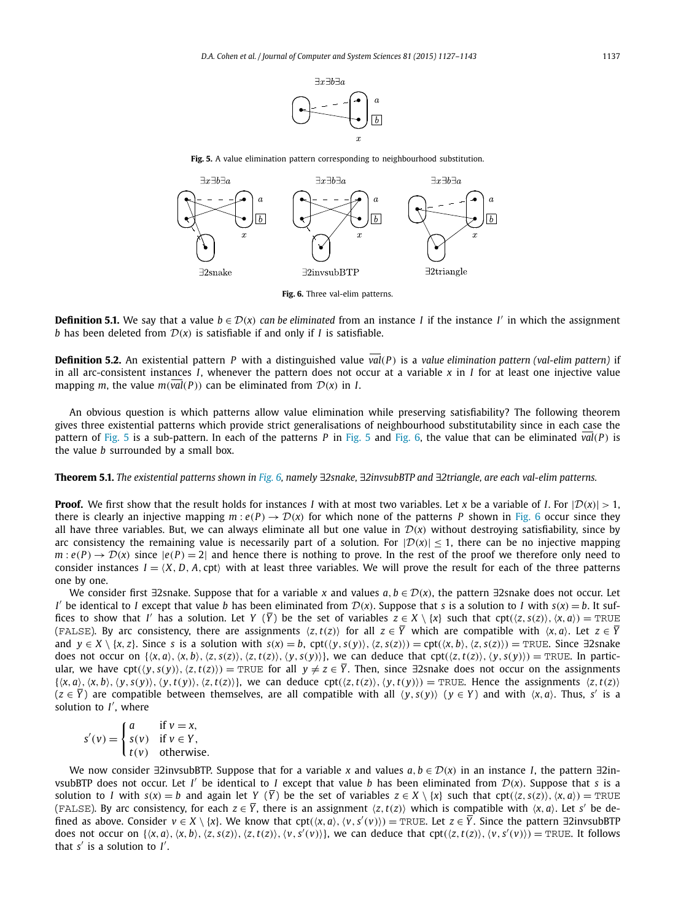

**Fig. 5.** A value elimination pattern corresponding to neighbourhood substitution.

<span id="page-10-0"></span>

**Fig. 6.** Three val-elim patterns.

**Definition 5.1.** We say that a value  $b \in \mathcal{D}(x)$  *can be eliminated* from an instance *I* if the instance *I'* in which the assignment *b* has been deleted from  $D(x)$  is satisfiable if and only if *I* is satisfiable.

**Definition 5.2.** An existential pattern *P* with a distinguished value  $\overline{val}(P)$  is a value elimination pattern (val-elim pattern) if in all arc-consistent instances *I*, whenever the pattern does not occur at a variable  $x$  in *I* for at least one injective value mapping *m*, the value  $m(\overline{val}(P))$  can be eliminated from  $D(x)$  in *I*.

An obvious question is which patterns allow value elimination while preserving satisfiability? The following theorem gives three existential patterns which provide strict generalisations of neighbourhood substitutability since in each case the pattern of Fig. 5 is a sub-pattern. In each of the patterns *P* in Fig. 5 and Fig. 6, the value that can be eliminated *val(P)* is the value *b* surrounded by a small box.

### Theorem 5.1. The existential patterns shown in Fig. 6, namely ∃2snake, ∃2invsubBTP and ∃2triangle, are each val-elim patterns.

**Proof.** We first show that the result holds for instances *I* with at most two variables. Let *x* be a variable of *I*. For  $|\mathcal{D}(x)| > 1$ , there is clearly an injective mapping  $m : e(P) \to \mathcal{D}(x)$  for which none of the patterns P shown in Fig. 6 occur since they all have three variables. But, we can always eliminate all but one value in  $\mathcal{D}(x)$  without destroying satisfiability, since by arc consistency the remaining value is necessarily part of a solution. For  $|\mathcal{D}(x)| \leq 1$ , there can be no injective mapping  $m : e(P) \rightarrow \mathcal{D}(x)$  since  $|e(P)| = 2$  and hence there is nothing to prove. In the rest of the proof we therefore only need to consider instances  $I = \langle X, D, A, \text{cpt}\rangle$  with at least three variables. We will prove the result for each of the three patterns one by one.

We consider first ∃2snake. Suppose that for <sup>a</sup> variable *<sup>x</sup>* and values *<sup>a</sup>, <sup>b</sup>* ∈ D*(x)*, the pattern ∃2snake does not occur. Let I' be identical to *I* except that value *b* has been eliminated from  $D(x)$ . Suppose that *s* is a solution to *I* with  $s(x) = b$ . It suffices to show that I' has a solution. Let Y ( $\overline{Y}$ ) be the set of variables  $z \in X \setminus \{x\}$  such that  $cpt((z, s(z)), (x, a)) = \text{TRUE}$ (FALSE). By arc consistency, there are assignments  $\langle z, t(z) \rangle$  for all  $z \in \overline{Y}$  which are compatible with  $\langle x, a \rangle$ . Let  $z \in \overline{Y}$ and  $y \in X \setminus \{x, z\}$ . Since s is a solution with  $s(x) = b$ ,  $cpt(\langle y, s(y) \rangle, \langle z, s(z) \rangle) = cpt(\langle x, b \rangle, \langle z, s(z) \rangle) = \text{TRUE}$ . Since  $\exists 2$ snake does not occur on  $\{\langle x, a \rangle, \langle x, b \rangle, \langle z, s(z) \rangle, \langle z, t(z) \rangle, \langle y, s(y) \rangle\}$ , we can deduce that  $\text{cpt}(\langle z, t(z) \rangle, \langle y, s(y) \rangle) = \text{TRUE}$ . In particular, we have cpt( $\langle y, s(y) \rangle$ ,  $\langle z, t(z) \rangle$ ) = TRUE for all  $y \neq z \in \overline{Y}$ . Then, since E2snake does not occur on the assignments  $\{(x, a), (x, b), (y, s(y)), (y, t(y)), (z, t(z))\}$ , we can deduce  $cpt((z, t(z)), (y, t(y))) = \text{TRUE}$ . Hence the assignments  $\langle z, t(z) \rangle$  $(z \in \overline{Y})$  are compatible between themselves, are all compatible with all  $\langle y, s(y) \rangle$   $(y \in Y)$  and with  $\langle x, a \rangle$ . Thus, *s'* is a solution to I', where

$$
s'(v) = \begin{cases} a & \text{if } v = x, \\ s(v) & \text{if } v \in Y, \\ t(v) & \text{otherwise.} \end{cases}
$$

We now consider  $\exists$ 2invsubBTP. Suppose that for a variable *x* and values  $a, b \in \mathcal{D}(x)$  in an instance *I*, the pattern  $\exists$ 2invsubBTP does not occur. Let *I'* be identical to *I* except that value *b* has been eliminated from  $D(x)$ . Suppose that *s* is a solution to I with  $s(x) = b$  and again let Y ( $\overline{Y}$ ) be the set of variables  $z \in X \setminus \{x\}$  such that  $cpt((z, s(z)), (x, a)) = \text{TRUE}$ (FALSE). By arc consistency, for each  $z \in \overline{Y}$ , there is an assignment  $\langle z, t(z) \rangle$  which is compatible with  $\langle x, a \rangle$ . Let *s'* be defined as above. Consider  $v \in X \setminus \{x\}$ . We know that  $cpt(\langle x, a \rangle, \langle v, s'(v) \rangle) = \text{TRUE}$ . Let  $z \in \overline{Y}$ . Since the pattern  $\exists 2$ invsubBTP does not occur on  $\{\langle x, a \rangle, \langle x, b \rangle, \langle z, s(z) \rangle, \langle z, t(z) \rangle, \langle v, s'(v) \rangle\}$ , we can deduce that  $\text{cpt}(\langle z, t(z) \rangle, \langle v, s'(v) \rangle) = \text{TRUE}$ . It follows that *s'* is a solution to *I'*.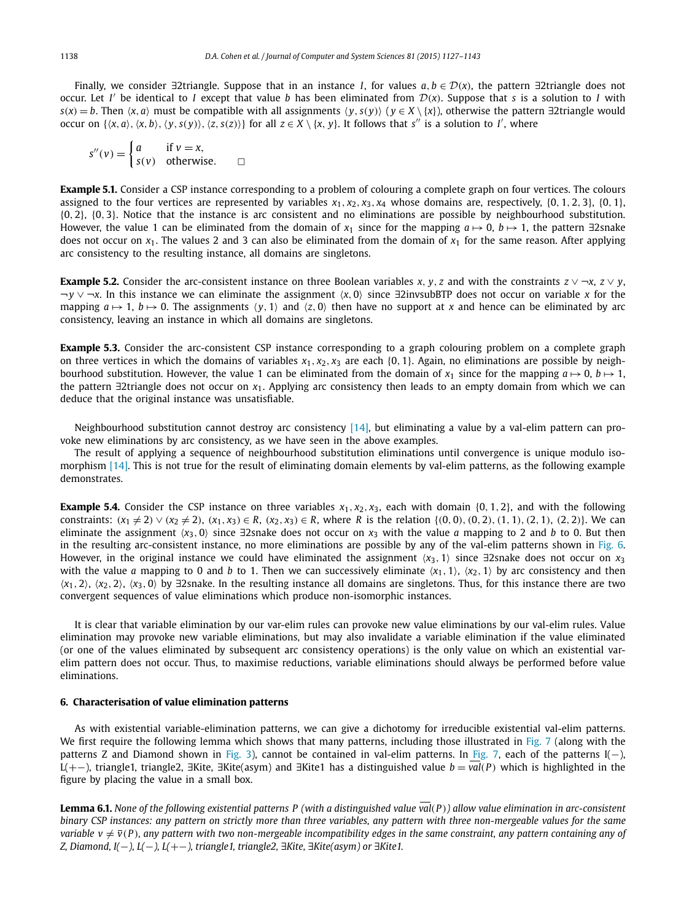<span id="page-11-0"></span>Finally, we consider ∃2triangle. Suppose that in an instance *<sup>I</sup>*, for values *<sup>a</sup>, <sup>b</sup>* ∈ D*(x)*, the pattern ∃2triangle does not occur. Let *I'* be identical to *I* except that value *b* has been eliminated from  $D(x)$ . Suppose that *s* is a solution to *I* with  $s(x) = b$ . Then  $\langle x, a \rangle$  must be compatible with all assignments  $\langle y, s(y) \rangle$  ( $y \in X \setminus \{x\}$ ), otherwise the pattern Elertiangle would occur on  $\{\langle x, a \rangle, \langle x, b \rangle, \langle y, s(y) \rangle, \langle z, s(z) \rangle\}$  for all  $z \in X \setminus \{x, y\}$ . It follows that s'' is a solution to I', where

 $s''(v) = \begin{cases} a & \text{if } v = x, \\ s(v) & \text{otherwise} \end{cases}$ *s*(*v*) otherwise.  $\Box$ 

**Example 5.1.** Consider a CSP instance corresponding to a problem of colouring a complete graph on four vertices. The colours assigned to the four vertices are represented by variables  $x_1, x_2, x_3, x_4$  whose domains are, respectively,  $\{0, 1, 2, 3\}$ ,  $\{0, 1\}$ , {0*,* 2}, {0*,* 3}. Notice that the instance is arc consistent and no eliminations are possible by neighbourhood substitution. However, the value 1 can be eliminated from the domain of  $x_1$  since for the mapping  $a \mapsto 0$ ,  $b \mapsto 1$ , the pattern ∃2snake does not occur on  $x_1$ . The values 2 and 3 can also be eliminated from the domain of  $x_1$  for the same reason. After applying arc consistency to the resulting instance, all domains are singletons.

**Example 5.2.** Consider the arc-consistent instance on three Boolean variables *x*, *y*, *z* and with the constraints  $z \vee \neg x$ ,  $z \vee y$ , ¬*y* ∨ ¬*x*. In this instance we can eliminate the assignment *x,* 0 since ∃2invsubBTP does not occur on variable *x* for the mapping  $a \mapsto 1$ ,  $b \mapsto 0$ . The assignments  $\langle y, 1 \rangle$  and  $\langle z, 0 \rangle$  then have no support at x and hence can be eliminated by arc consistency, leaving an instance in which all domains are singletons.

**Example 5.3.** Consider the arc-consistent CSP instance corresponding to a graph colouring problem on a complete graph on three vertices in which the domains of variables  $x_1, x_2, x_3$  are each  $\{0, 1\}$ . Again, no eliminations are possible by neighbourhood substitution. However, the value 1 can be eliminated from the domain of  $x_1$  since for the mapping  $a \mapsto 0$ ,  $b \mapsto 1$ , the pattern ∃2triangle does not occur on *x*1. Applying arc consistency then leads to an empty domain from which we can deduce that the original instance was unsatisfiable.

Neighbourhood substitution cannot destroy arc consistency [\[14\],](#page-15-0) but eliminating a value by a val-elim pattern can provoke new eliminations by arc consistency, as we have seen in the above examples.

The result of applying a sequence of neighbourhood substitution eliminations until convergence is unique modulo isomorphism [\[14\].](#page-15-0) This is not true for the result of eliminating domain elements by val-elim patterns, as the following example demonstrates.

**Example 5.4.** Consider the CSP instance on three variables  $x_1, x_2, x_3$ , each with domain  $\{0, 1, 2\}$ , and with the following constraints:  $(x_1 \neq 2) \vee (x_2 \neq 2)$ ,  $(x_1, x_3) \in R$ ,  $(x_2, x_3) \in R$ , where R is the relation  $\{(0, 0), (0, 2), (1, 1), (2, 1), (2, 2)\}$ . We can eliminate the assignment  $(x_3, 0)$  since ∃2snake does not occur on  $x_3$  with the value *a* mapping to 2 and *b* to 0. But then in the resulting arc-consistent instance, no more eliminations are possible by any of the val-elim patterns shown in [Fig. 6.](#page-10-0) However, in the original instance we could have eliminated the assignment  $(x_3, 1)$  since ∃2snake does not occur on  $x_3$ with the value *a* mapping to 0 and *b* to 1. Then we can successively eliminate  $\langle x_1, 1 \rangle$ ,  $\langle x_2, 1 \rangle$  by arc consistency and then  $\langle x_1, 2 \rangle$ ,  $\langle x_2, 2 \rangle$ ,  $\langle x_3, 0 \rangle$  by ∃2snake. In the resulting instance all domains are singletons. Thus, for this instance there are two convergent sequences of value eliminations which produce non-isomorphic instances.

It is clear that variable elimination by our var-elim rules can provoke new value eliminations by our val-elim rules. Value elimination may provoke new variable eliminations, but may also invalidate a variable elimination if the value eliminated (or one of the values eliminated by subsequent arc consistency operations) is the only value on which an existential varelim pattern does not occur. Thus, to maximise reductions, variable eliminations should always be performed before value eliminations.

# **6. Characterisation of value elimination patterns**

As with existential variable-elimination patterns, we can give a dichotomy for irreducible existential val-elim patterns. We first require the following lemma which shows that many patterns, including those illustrated in [Fig. 7](#page-12-0) (along with the patterns Z and Diamond shown in [Fig. 3\)](#page-6-0), cannot be contained in val-elim patterns. In [Fig. 7,](#page-12-0) each of the patterns I(−), L(+−), triangle1, triangle2, ∃Kite, ∃Kite(asym) and ∃Kite1 has a distinguished value *b* = *val(P)* which is highlighted in the figure by placing the value in a small box.

**Lemma 6.1.** None of the following existential patterns P (with a distinguished value  $\overline{val}(P)$ ) allow value elimination in arc-consistent binary CSP instances: any pattern on strictly more than three variables, any pattern with three non-mergeable values for the same variable  $v \neq \overline{v}(P)$ , any pattern with two non-mergeable incompatibility edges in the same constraint, any pattern containing any of *Z, Diamond, I(*−*), L(*−*), L(*+−*), triangle1, triangle2,* ∃*Kite,* ∃*Kite(asym) or* ∃*Kite1.*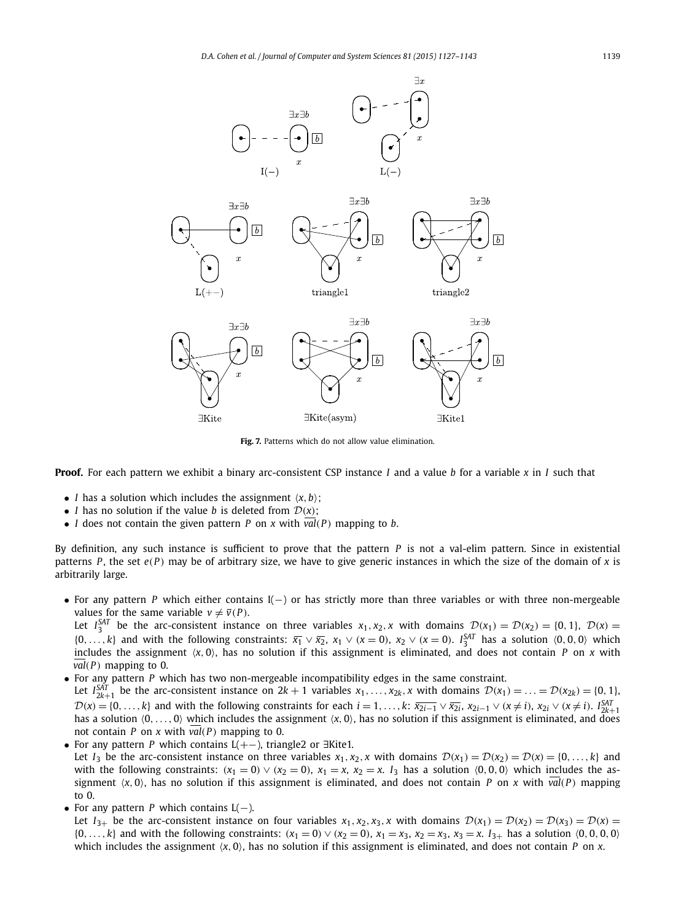<span id="page-12-0"></span>

**Fig. 7.** Patterns which do not allow value elimination.

**Proof.** For each pattern we exhibit a binary arc-consistent CSP instance *I* and a value *b* for a variable *x* in *I* such that

- *I* has a solution which includes the assignment  $\langle x, b \rangle$ ;
- *I* has no solution if the value *b* is deleted from  $D(x)$ ;
- *I* does not contain the given pattern *P* on *x* with  $\overline{val}(P)$  mapping to *b*.

By definition, any such instance is sufficient to prove that the pattern *P* is not a val-elim pattern. Since in existential patterns *P* , the set *e(P)* may be of arbitrary size, we have to give generic instances in which the size of the domain of *x* is arbitrarily large.

• For any pattern *P* which either contains I(−) or has strictly more than three variables or with three non-mergeable values for the same variable  $v \neq \overline{v}(P)$ .

Let  $I_3^{\text{SAT}}$  be the arc-consistent instance on three variables  $x_1, x_2, x$  with domains  $\mathcal{D}(x_1) = \mathcal{D}(x_2) = \{0, 1\}$ ,  $\mathcal{D}(x) = \{0, 1\}$  $\{0,\ldots,k\}$  and with the following constraints:  $\overline{x_1} \vee \overline{x_2}$ ,  $x_1 \vee (x = 0)$ ,  $x_2 \vee (x = 0)$ .  $I_3^{SAT}$  has a solution  $\langle 0,0,0 \rangle$  which includes the assignment  $\langle x, 0 \rangle$ , has no solution if this assignment is eliminated, and does not contain *P* on *x* with  $\sqrt{\alpha}$ *(P)* mapping to 0.

- For any pattern *P* which has two non-mergeable incompatibility edges in the same constraint. Let  $I_{2k+1}^{SAT}$  be the arc-consistent instance on  $2k+1$  variables  $x_1,...,x_{2k}$ , x with domains  $\mathcal{D}(x_1) = ... = \mathcal{D}(x_{2k}) = \{0, 1\}$ ,  $\mathcal{D}(x) = \{0, \ldots, k\}$  and with the following constraints for each  $i = 1, \ldots, k$ :  $\overline{x_{2i-1}} \vee \overline{x_{2i}}$ ,  $x_{2i-1} \vee (x \neq i)$ ,  $x_{2i} \vee (x \neq i)$ .  $I_{2k+1}^{SAT}$ has a solution  $(0, \ldots, 0)$  which includes the assignment  $(x, 0)$ , has no solution if this assignment is eliminated, and does not contain *P* on *x* with *val(P)* mapping to 0.
- For any pattern *P* which contains L(+−), triangle2 or ∃Kite1. Let  $I_3$  be the arc-consistent instance on three variables  $x_1, x_2, x$  with domains  $\mathcal{D}(x_1) = \mathcal{D}(x_2) = \mathcal{D}(x) = \{0, \ldots, k\}$  and with the following constraints:  $(x_1 = 0) \vee (x_2 = 0)$ ,  $x_1 = x$ ,  $x_2 = x$ .  $I_3$  has a solution  $\langle 0, 0, 0 \rangle$  which includes the assignment  $\langle x, 0 \rangle$ , has no solution if this assignment is eliminated, and does not contain *P* on *x* with  $\overline{val}(P)$  mapping to 0.
- For any pattern *P* which contains L(−). Let  $I_{3+}$  be the arc-consistent instance on four variables  $x_1, x_2, x_3, x$  with domains  $\mathcal{D}(x_1) = \mathcal{D}(x_2) = \mathcal{D}(x_3) = \mathcal{D}(x) =$  $\{0,\ldots,k\}$  and with the following constraints:  $(x_1 = 0) \vee (x_2 = 0)$ ,  $x_1 = x_3$ ,  $x_2 = x_3$ ,  $x_3 = x$ .  $I_{3+}$  has a solution  $\langle 0,0,0,0 \rangle$ which includes the assignment  $(x, 0)$ , has no solution if this assignment is eliminated, and does not contain *P* on *x*.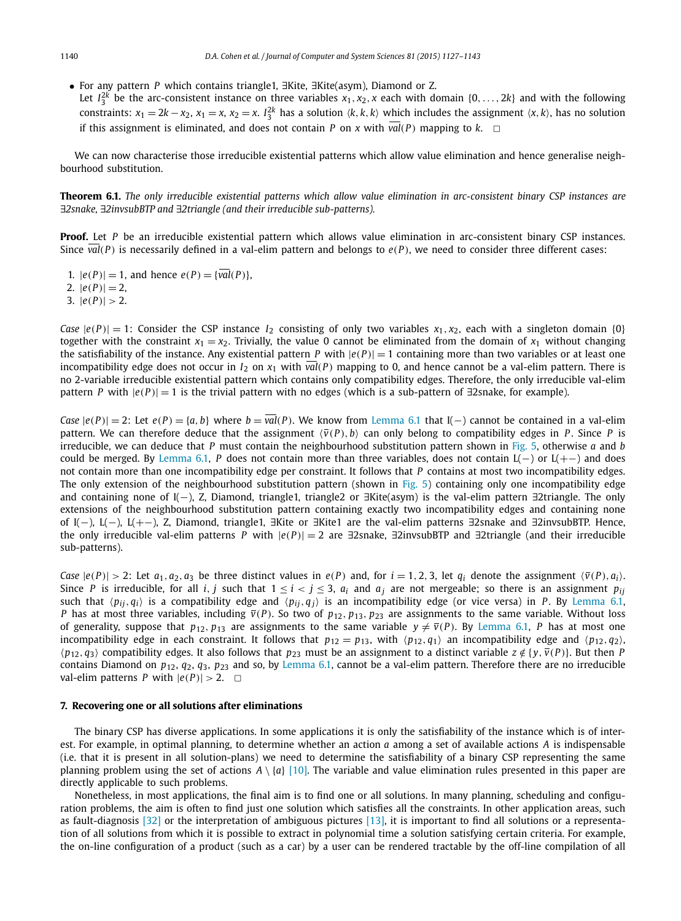- For any pattern *P* which contains triangle1, ∃Kite, ∃Kite(asym), Diamond or Z.
- Let  $I_3^{2k}$  be the arc-consistent instance on three variables  $x_1, x_2, x$  each with domain  $\{0, \ldots, 2k\}$  and with the following constraints:  $x_1 = 2k - x_2$ ,  $x_1 = x$ ,  $x_2 = x$ .  $I_3^{2k}$  has a solution  $\langle k, k, k \rangle$  which includes the assignment  $\langle x, k \rangle$ , has no solution if this assignment is eliminated, and does not contain *P* on *x* with  $\overline{val}(P)$  mapping to *k*.  $\Box$

We can now characterise those irreducible existential patterns which allow value elimination and hence generalise neighbourhood substitution.

Theorem 6.1. The only irreducible existential patterns which allow value elimination in arc-consistent binary CSP instances are ∃*2snake,* ∃*2invsubBTP and* ∃*2triangle (and their irreducible sub-patterns).*

**Proof.** Let *P* be an irreducible existential pattern which allows value elimination in arc-consistent binary CSP instances. Since  $\overline{val}(P)$  is necessarily defined in a val-elim pattern and belongs to  $e(P)$ , we need to consider three different cases:

- 1.  $|e(P)| = 1$ , and hence  $e(P) = \{ \overline{val}(P) \}$ .
- 2.  $|e(P)| = 2$ ,
- 3.  $|e(P)| > 2$ .

*Case*  $|e(P)| = 1$ : Consider the CSP instance *I*<sub>2</sub> consisting of only two variables  $x_1, x_2$ , each with a singleton domain {0} together with the constraint  $x_1 = x_2$ . Trivially, the value 0 cannot be eliminated from the domain of  $x_1$  without changing the satisfiability of the instance. Any existential pattern *P* with  $|e(P)| = 1$  containing more than two variables or at least one incompatibility edge does not occur in  $I_2$  on  $x_1$  with *val*(*P*) mapping to 0, and hence cannot be a val-elim pattern. There is no 2-variable irreducible existential pattern which contains only compatibility edges. Therefore, the only irreducible val-elim pattern *P* with  $|e(P)| = 1$  is the trivial pattern with no edges (which is a sub-pattern of ∃2snake, for example).

Case  $|e(P)| = 2$ : Let  $e(P) = \{a, b\}$  where  $b = \overline{val}(P)$ . We know from [Lemma 6.1](#page-11-0) that I(-) cannot be contained in a val-elim pattern. We can therefore deduce that the assignment  $\langle \overline{v}(P), b \rangle$  can only belong to compatibility edges in P. Since P is irreducible, we can deduce that *P* must contain the neighbourhood substitution pattern shown in [Fig. 5,](#page-10-0) otherwise *a* and *b* could be merged. By [Lemma 6.1,](#page-11-0) *P* does not contain more than three variables, does not contain L(−) or L(+−) and does not contain more than one incompatibility edge per constraint. It follows that *P* contains at most two incompatibility edges. The only extension of the neighbourhood substitution pattern (shown in [Fig. 5\)](#page-10-0) containing only one incompatibility edge and containing none of I(−), Z, Diamond, triangle1, triangle2 or ∃Kite(asym) is the val-elim pattern ∃2triangle. The only extensions of the neighbourhood substitution pattern containing exactly two incompatibility edges and containing none of I(−), L(−), L(+−), Z, Diamond, triangle1, ∃Kite or ∃Kite1 are the val-elim patterns ∃2snake and ∃2invsubBTP. Hence, the only irreducible val-elim patterns *P* with |*e(P)*| = 2 are ∃2snake, ∃2invsubBTP and ∃2triangle (and their irreducible sub-patterns).

Case  $|e(P)| > 2$ : Let  $a_1, a_2, a_3$  be three distinct values in  $e(P)$  and, for  $i = 1, 2, 3$ , let  $q_i$  denote the assignment  $\langle \overline{v}(P), a_i \rangle$ . Since *P* is irreducible, for all *i*, *j* such that  $1 \le i < j \le 3$ ,  $a_i$  and  $a_j$  are not mergeable; so there is an assignment  $p_{ij}$ such that  $\langle p_{ij}, q_i \rangle$  is a compatibility edge and  $\langle p_{ij}, q_j \rangle$  is an incompatibility edge (or vice versa) in *P*. By [Lemma 6.1,](#page-11-0) *P* has at most three variables, including  $\bar{v}(P)$ . So two of  $p_{12}$ ,  $p_{13}$ ,  $p_{23}$  are assignments to the same variable. Without loss of generality, suppose that  $p_{12}$ ,  $p_{13}$  are assignments to the same variable  $y \neq \overline{v}(P)$ . By [Lemma 6.1,](#page-11-0) P has at most one incompatibility edge in each constraint. It follows that  $p_{12} = p_{13}$ , with  $\langle p_{12}, q_1 \rangle$  an incompatibility edge and  $\langle p_{12}, q_2 \rangle$ ,  $p_{12}, q_3$  compatibility edges. It also follows that  $p_{23}$  must be an assignment to a distinct variable  $z \notin \{v, \overline{v}(P)\}$ . But then *P* contains Diamond on  $p_{12}$ ,  $q_2$ ,  $q_3$ ,  $p_{23}$  and so, by [Lemma 6.1,](#page-11-0) cannot be a val-elim pattern. Therefore there are no irreducible val-elim patterns *P* with  $|e(P)| > 2$ .  $\Box$ 

#### **7. Recovering one or all solutions after eliminations**

The binary CSP has diverse applications. In some applications it is only the satisfiability of the instance which is of interest. For example, in optimal planning, to determine whether an action *a* among a set of available actions *A* is indispensable (i.e. that it is present in all solution-plans) we need to determine the satisfiability of a binary CSP representing the same planning problem using the set of actions  $A \setminus \{a\}$  [\[10\].](#page-15-0) The variable and value elimination rules presented in this paper are directly applicable to such problems.

Nonetheless, in most applications, the final aim is to find one or all solutions. In many planning, scheduling and configuration problems, the aim is often to find just one solution which satisfies all the constraints. In other application areas, such as fault-diagnosis [\[32\]](#page-16-0) or the interpretation of ambiguous pictures [\[13\],](#page-15-0) it is important to find all solutions or a representation of all solutions from which it is possible to extract in polynomial time a solution satisfying certain criteria. For example, the on-line configuration of a product (such as a car) by a user can be rendered tractable by the off-line compilation of all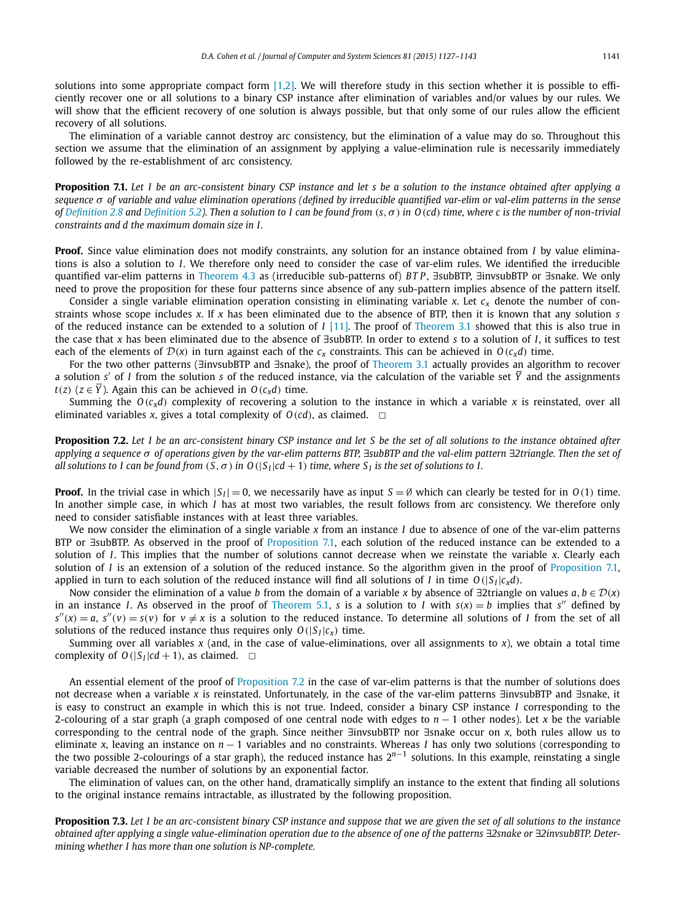solutions into some appropriate compact form  $[1,2]$ . We will therefore study in this section whether it is possible to efficiently recover one or all solutions to a binary CSP instance after elimination of variables and/or values by our rules. We will show that the efficient recovery of one solution is always possible, but that only some of our rules allow the efficient recovery of all solutions.

The elimination of a variable cannot destroy arc consistency, but the elimination of a value may do so. Throughout this section we assume that the elimination of an assignment by applying a value-elimination rule is necessarily immediately followed by the re-establishment of arc consistency.

**Proposition 7.1.** Let I be an arc-consistent binary CSP instance and let s be a solution to the instance obtained after applying a sequence  $\sigma$  of variable and value elimination operations (defined by irreducible quantified var-elim or val-elim patterns in the sense of [Definition 2.8](#page-4-0) and [Definition 5.2\)](#page-10-0). Then a solution to I can be found from  $(s, \sigma)$  in O(cd) time, where c is the number of non-trivial *constraints and d the maximum domain size in I.*

**Proof.** Since value elimination does not modify constraints, any solution for an instance obtained from *I* by value eliminations is also a solution to *I*. We therefore only need to consider the case of var-elim rules. We identified the irreducible quantified var-elim patterns in [Theorem 4.3](#page-9-0) as (irreducible sub-patterns of) *BTP*, ∃subBTP, ∃invsubBTP or ∃snake. We only need to prove the proposition for these four patterns since absence of any sub-pattern implies absence of the pattern itself.

Consider a single variable elimination operation consisting in eliminating variable  $x$ . Let  $c_x$  denote the number of constraints whose scope includes *x*. If *x* has been eliminated due to the absence of BTP, then it is known that any solution *s* of the reduced instance can be extended to a solution of *I* [\[11\].](#page-15-0) The proof of [Theorem 3.1](#page-5-0) showed that this is also true in the case that *x* has been eliminated due to the absence of ∃subBTP. In order to extend *s* to a solution of *I*, it suffices to test each of the elements of  $\mathcal{D}(x)$  in turn against each of the  $c_x$  constraints. This can be achieved in  $O(c_x d)$  time.

For the two other patterns (∃invsubBTP and ∃snake), the proof of [Theorem 3.1](#page-5-0) actually provides an algorithm to recover a solution *s'* of *I* from the solution *s* of the reduced instance, via the calculation of the variable set  $\overline{Y}$  and the assignments *t*(*z*) ( $z \in \overline{Y}$ ). Again this can be achieved in  $O(c_x d)$  time.

Summing the  $O(c_x d)$  complexity of recovering a solution to the instance in which a variable x is reinstated, over all eliminated variables *x*, gives a total complexity of  $O(cd)$ , as claimed.  $\Box$ 

**Proposition 7.2.** Let I be an arc-consistent binary CSP instance and let S be the set of all solutions to the instance obtained after applying a sequence  $\sigma$  of operations given by the var-elim patterns BTP,  $\exists$ subBTP and the val-elim pattern  $\exists$ 2triangle. Then the set of all solutions to I can be found from  $(S, \sigma)$  in  $O(|S_1|cd + 1)$  time, where  $S_1$  is the set of solutions to I.

**Proof.** In the trivial case in which  $|S_i| = 0$ , we necessarily have as input  $S = \emptyset$  which can clearly be tested for in  $O(1)$  time. In another simple case, in which *I* has at most two variables, the result follows from arc consistency. We therefore only need to consider satisfiable instances with at least three variables.

We now consider the elimination of a single variable *x* from an instance *I* due to absence of one of the var-elim patterns BTP or ∃subBTP. As observed in the proof of Proposition 7.1, each solution of the reduced instance can be extended to a solution of *I*. This implies that the number of solutions cannot decrease when we reinstate the variable *x*. Clearly each solution of *I* is an extension of a solution of the reduced instance. So the algorithm given in the proof of Proposition 7.1, applied in turn to each solution of the reduced instance will find all solutions of *I* in time  $O(|S_I|c_xd)$ .

Now consider the elimination of a value *b* from the domain of a variable *x* by absence of ∃2triangle on values  $a, b \in \mathcal{D}(x)$ in an instance *I*. As observed in the proof of [Theorem 5.1,](#page-10-0) *s* is a solution to *I* with  $s(x) = b$  implies that *s*<sup>"</sup> defined by  $s''(x) = a$ ,  $s''(v) = s(v)$  for  $v \neq x$  is a solution to the reduced instance. To determine all solutions of I from the set of all solutions of the reduced instance thus requires only  $O(|S_I|c_x)$  time.

Summing over all variables *x* (and, in the case of value-eliminations, over all assignments to *x*), we obtain a total time complexity of  $O(|S_I|cd + 1)$ , as claimed.  $\Box$ 

An essential element of the proof of Proposition 7.2 in the case of var-elim patterns is that the number of solutions does not decrease when a variable *x* is reinstated. Unfortunately, in the case of the var-elim patterns ∃invsubBTP and ∃snake, it is easy to construct an example in which this is not true. Indeed, consider a binary CSP instance *I* corresponding to the 2-colouring of a star graph (a graph composed of one central node with edges to *n* − 1 other nodes). Let *x* be the variable corresponding to the central node of the graph. Since neither ∃invsubBTP nor ∃snake occur on *x*, both rules allow us to eliminate *x*, leaving an instance on *n* − 1 variables and no constraints. Whereas *I* has only two solutions (corresponding to the two possible 2-colourings of a star graph), the reduced instance has 2*n*−<sup>1</sup> solutions. In this example, reinstating a single variable decreased the number of solutions by an exponential factor.

The elimination of values can, on the other hand, dramatically simplify an instance to the extent that finding all solutions to the original instance remains intractable, as illustrated by the following proposition.

**Proposition 7.3.** Let I be an arc-consistent binary CSP instance and suppose that we are given the set of all solutions to the instance obtained after applying a single value-elimination operation due to the absence of one of the patterns ∃2snake or ∃2invsubBTP. Deter*mining whether I has more than one solution is NP-complete.*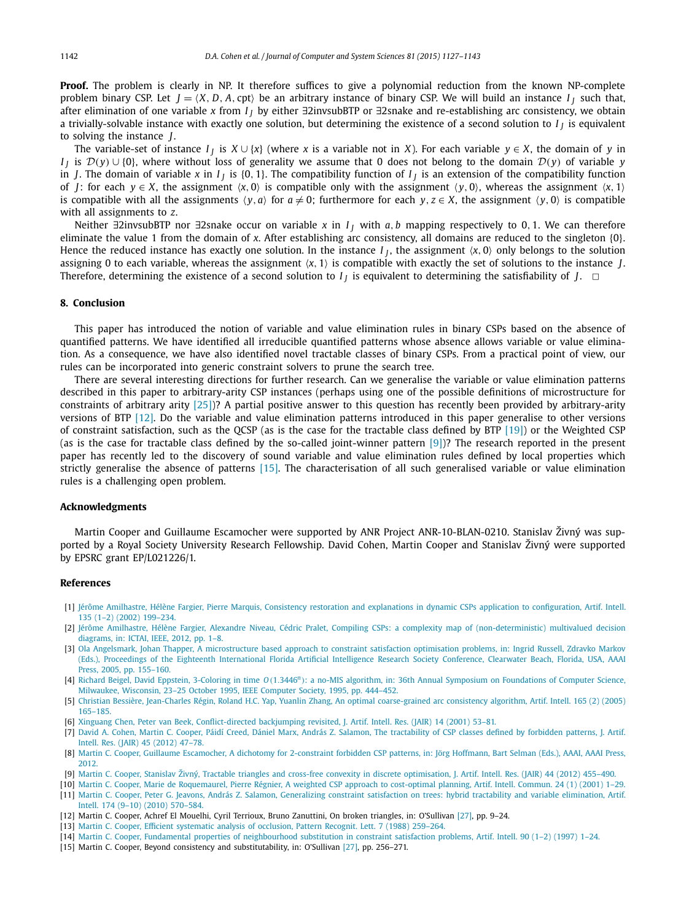<span id="page-15-0"></span>**Proof.** The problem is clearly in NP. It therefore suffices to give a polynomial reduction from the known NP-complete problem binary CSP. Let  $J = \langle X, D, A, \text{cpt}\rangle$  be an arbitrary instance of binary CSP. We will build an instance  $I_J$  such that, after elimination of one variable *x* from *I <sup>J</sup>* by either ∃2invsubBTP or ∃2snake and re-establishing arc consistency, we obtain a trivially-solvable instance with exactly one solution, but determining the existence of a second solution to *I <sup>J</sup>* is equivalent to solving the instance *J*.

The variable-set of instance  $I_I$  is  $X \cup \{x\}$  (where *x* is a variable not in *X*). For each variable  $y \in X$ , the domain of *y* in *I*<sub>*I*</sub> is  $D(y) ∪ {0}$ , where without loss of generality we assume that 0 does not belong to the domain  $D(y)$  of variable *y* in *J*. The domain of variable *x* in  $I<sub>I</sub>$  is {0, 1}. The compatibility function of  $I<sub>I</sub>$  is an extension of the compatibility function of *I*: for each  $y \in X$ , the assignment  $\langle x, 0 \rangle$  is compatible only with the assignment  $\langle y, 0 \rangle$ , whereas the assignment  $\langle x, 1 \rangle$ is compatible with all the assignments  $\langle v, a \rangle$  for  $a \neq 0$ ; furthermore for each  $v, z \in X$ , the assignment  $\langle v, 0 \rangle$  is compatible with all assignments to *z*.

Neither ∃2invsubBTP nor ∃2snake occur on variable *x* in *I <sup>J</sup>* with *a, b* mapping respectively to 0*,* 1. We can therefore eliminate the value 1 from the domain of *x*. After establishing arc consistency, all domains are reduced to the singleton {0}. Hence the reduced instance has exactly one solution. In the instance  $I<sub>I</sub>$ , the assignment  $\langle x, 0 \rangle$  only belongs to the solution assigning 0 to each variable, whereas the assignment  $\langle x, 1 \rangle$  is compatible with exactly the set of solutions to the instance *J*. Therefore, determining the existence of a second solution to  $I_I$  is equivalent to determining the satisfiability of  $J. \square$ 

### **8. Conclusion**

This paper has introduced the notion of variable and value elimination rules in binary CSPs based on the absence of quantified patterns. We have identified all irreducible quantified patterns whose absence allows variable or value elimination. As a consequence, we have also identified novel tractable classes of binary CSPs. From a practical point of view, our rules can be incorporated into generic constraint solvers to prune the search tree.

There are several interesting directions for further research. Can we generalise the variable or value elimination patterns described in this paper to arbitrary-arity CSP instances (perhaps using one of the possible definitions of microstructure for constraints of arbitrary arity [\[25\]\)](#page-16-0)? A partial positive answer to this question has recently been provided by arbitrary-arity versions of BTP [12]. Do the variable and value elimination patterns introduced in this paper generalise to other versions of constraint satisfaction, such as the QCSP (as is the case for the tractable class defined by BTP [\[19\]\)](#page-16-0) or the Weighted CSP (as is the case for tractable class defined by the so-called joint-winner pattern  $[9]$ )? The research reported in the present paper has recently led to the discovery of sound variable and value elimination rules defined by local properties which strictly generalise the absence of patterns [15]. The characterisation of all such generalised variable or value elimination rules is a challenging open problem.

### **Acknowledgments**

Martin Cooper and Guillaume Escamocher were supported by ANR Project ANR-10-BLAN-0210. Stanislav Živný was supported by a Royal Society University Research Fellowship. David Cohen, Martin Cooper and Stanislav Živný were supported by EPSRC grant EP/L021226/1.

#### **References**

- [1] Jérôme Amilhastre, Hélène Fargier, Pierre Marquis, Consistency restoration and explanations in dynamic CSPs application to [configuration,](http://refhub.elsevier.com/S0022-0000(15)00008-2/bib44424C503A6A6F75726E616C732F61692F416D696C686173747265464D3032s1) Artif. Intell. [135 \(1–2\)](http://refhub.elsevier.com/S0022-0000(15)00008-2/bib44424C503A6A6F75726E616C732F61692F416D696C686173747265464D3032s1) (2002) 199–234.
- [2] Jérôme Amilhastre, Hélène Fargier, Alexandre Niveau, Cédric Pralet, Compiling CSPs: a complexity map of [\(non-deterministic\)](http://refhub.elsevier.com/S0022-0000(15)00008-2/bib44424C503A636F6E662F69637461692F416D696C686173747265464E503132s1) multivalued decision [diagrams,](http://refhub.elsevier.com/S0022-0000(15)00008-2/bib44424C503A636F6E662F69637461692F416D696C686173747265464E503132s1) in: ICTAI, IEEE, 2012, pp. 1–8.
- [3] Ola Angelsmark, Johan Thapper, A [microstructure](http://refhub.elsevier.com/S0022-0000(15)00008-2/bib44424C503A636F6E662F666C616972732F416E67656C736D61726B543035s1) based approach to constraint satisfaction optimisation problems, in: Ingrid Russell, Zdravko Markov (Eds.), Proceedings of the Eighteenth [International](http://refhub.elsevier.com/S0022-0000(15)00008-2/bib44424C503A636F6E662F666C616972732F416E67656C736D61726B543035s1) Florida Artificial Intelligence Research Society Conference, Clearwater Beach, Florida, USA, AAAI Press, 2005, [pp. 155–160.](http://refhub.elsevier.com/S0022-0000(15)00008-2/bib44424C503A636F6E662F666C616972732F416E67656C736D61726B543035s1)
- [4] Richard Beigel, David Eppstein, [3-Coloring in](http://refhub.elsevier.com/S0022-0000(15)00008-2/bib44424C503A636F6E662F666F63732F42656967656C453935s1) time *O(*1*.*3446*<sup>n</sup>)*: a no-MIS algorithm, in: 36th Annual Symposium on Foundations of Computer Science, Milwaukee, Wisconsin, 23–25 October 1995, IEEE Computer Society, 1995, [pp. 444–452.](http://refhub.elsevier.com/S0022-0000(15)00008-2/bib44424C503A636F6E662F666F63732F42656967656C453935s1)
- [5] Christian Bessière, Jean-Charles Régin, Roland H.C. Yap, Yuanlin Zhang, An optimal [coarse-grained](http://refhub.elsevier.com/S0022-0000(15)00008-2/bib42657373696572653A4143s1) arc consistency algorithm, Artif. Intell. 165 (2) (2005) [165–185.](http://refhub.elsevier.com/S0022-0000(15)00008-2/bib42657373696572653A4143s1)
- [6] Xinguang Chen, Peter van Beek, [Conflict-directed](http://refhub.elsevier.com/S0022-0000(15)00008-2/bib44424C503A6A6F75726E616C732F6A6169722F4368656E423031s1) backjumping revisited, J. Artif. Intell. Res. (JAIR) 14 (2001) 53–81.
- [7] David A. Cohen, Martin C. Cooper, Páidí Creed, Dániel Marx, András Z. Salamon, The [tractability](http://refhub.elsevier.com/S0022-0000(15)00008-2/bib436F68656E31323A7069766F74s1) of CSP classes defined by forbidden patterns, J. Artif. Intell. Res. (JAIR) 45 (2012) [47–78.](http://refhub.elsevier.com/S0022-0000(15)00008-2/bib436F68656E31323A7069766F74s1)
- [8] Martin C. Cooper, Guillaume [Escamocher,](http://refhub.elsevier.com/S0022-0000(15)00008-2/bib436F6F70657231323A7061747465726E73s1) A dichotomy for 2-constraint forbidden CSP patterns, in: Jörg Hoffmann, Bart Selman (Eds.), AAAI, AAAI Press, [2012.](http://refhub.elsevier.com/S0022-0000(15)00008-2/bib436F6F70657231323A7061747465726E73s1)
- [9] Martin C. Cooper, Stanislav Živný, Tractable triangles and cross-free convexity in discrete [optimisation,](http://refhub.elsevier.com/S0022-0000(15)00008-2/bib436F6F70657231323A747261637461626C65s1) J. Artif. Intell. Res. (JAIR) 44 (2012) 455–490.
- [10] Martin C. Cooper, Marie de [Roquemaurel,](http://refhub.elsevier.com/S0022-0000(15)00008-2/bib636F6F7065723A706C616E6E696E6732303131s1) Pierre Régnier, A weighted CSP approach to cost-optimal planning, Artif. Intell. Commun. 24 (1) (2001) 1–29. [11] Martin C. Cooper, Peter G. Jeavons, András Z. Salamon, [Generalizing](http://refhub.elsevier.com/S0022-0000(15)00008-2/bib436F6F70657231303A425450s1) constraint satisfaction on trees: hybrid tractability and variable elimination, Artif. Intell. [174 \(9–10\)](http://refhub.elsevier.com/S0022-0000(15)00008-2/bib436F6F70657231303A425450s1) (2010) 570–584.
- [12] Martin C. Cooper, Achref El Mouelhi, Cyril Terrioux, Bruno Zanuttini, On broken triangles, in: O'Sullivan [\[27\],](#page-16-0) pp. 9–24.
- [13] Martin C. Cooper, Efficient [systematic](http://refhub.elsevier.com/S0022-0000(15)00008-2/bib636F6F7065723A70726C31393838s1) analysis of occlusion, Pattern Recognit. Lett. 7 (1988) 259–264.
- [14] Martin C. Cooper, Fundamental properties of [neighbourhood](http://refhub.elsevier.com/S0022-0000(15)00008-2/bib436F6F70657239373A6E65696768626F7572686F6F64s1) substitution in constraint satisfaction problems, Artif. Intell. 90 (1–2) (1997) 1–24.
- [15] Martin C. Cooper, Beyond consistency and substitutability, in: O'Sullivan [\[27\],](#page-16-0) pp. 256-271.